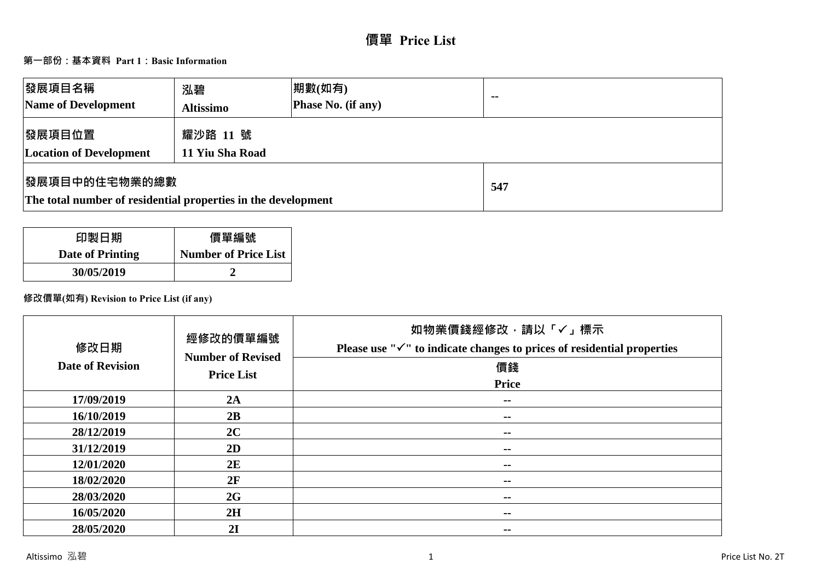# **價單 Price List**

# **第一部份:基本資料 Part 1:Basic Information**

| 發展項目名稱<br>Name of Development                                                  | 泓碧<br><b>Altissimo</b>      | 期數(如有)<br>Phase No. (if any) | $\blacksquare$ |
|--------------------------------------------------------------------------------|-----------------------------|------------------------------|----------------|
| 發展項目位置<br><b>Location of Development</b>                                       | 耀沙路 11 號<br>11 Yiu Sha Road |                              |                |
| 發展項目中的住宅物業的總數<br>The total number of residential properties in the development |                             | 547                          |                |

| 印製日期             | 價單編號                        |
|------------------|-----------------------------|
| Date of Printing | <b>Number of Price List</b> |
| 30/05/2019       |                             |

# **修改價單(如有) Revision to Price List (if any)**

| 修改日期<br><b>Date of Revision</b> | 經修改的價單編號<br><b>Number of Revised</b><br><b>Price List</b> | 如物業價錢經修改,請以「✓」標示<br>Please use " $\checkmark$ " to indicate changes to prices of residential properties<br>價錢<br><b>Price</b> |
|---------------------------------|-----------------------------------------------------------|-------------------------------------------------------------------------------------------------------------------------------|
| 17/09/2019                      | 2A                                                        | $\sim$                                                                                                                        |
| 16/10/2019                      | 2B                                                        | $\sim$ $-$                                                                                                                    |
| 28/12/2019                      | 2C                                                        | $\sim$                                                                                                                        |
| 31/12/2019                      | 2D                                                        | $\sim$ $-$                                                                                                                    |
| 12/01/2020                      | 2E                                                        | --                                                                                                                            |
| 18/02/2020                      | 2F                                                        | $\sim$ $-$                                                                                                                    |
| 28/03/2020                      | 2G                                                        | $\sim$ $-$                                                                                                                    |
| 16/05/2020                      | 2H                                                        | $\sim$ $-$                                                                                                                    |
| 28/05/2020                      | 2I                                                        | --                                                                                                                            |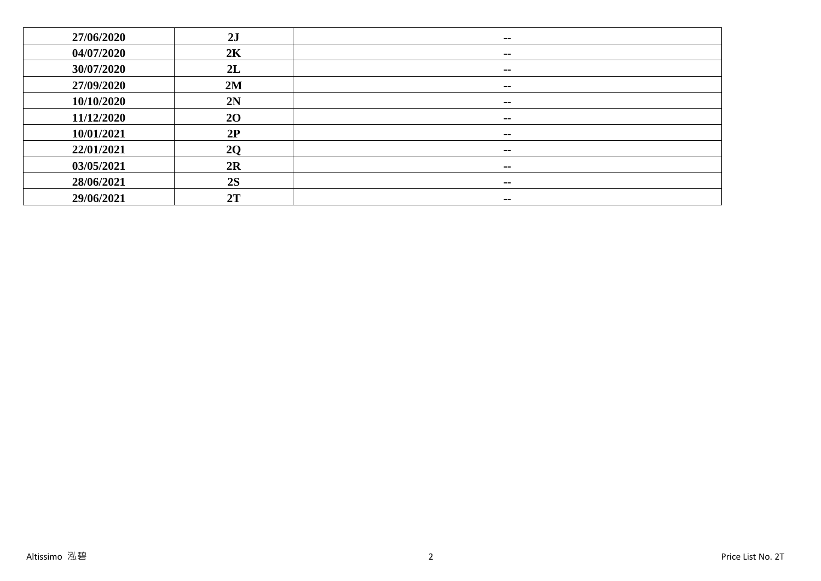| 27/06/2020 | 2J             | $- -$         |
|------------|----------------|---------------|
| 04/07/2020 | 2K             | $- -$         |
| 30/07/2020 | 2L             | $- -$         |
| 27/09/2020 | 2M             | $\sim$ $-$    |
| 10/10/2020 | 2N             | $\sim$ $-$    |
| 11/12/2020 | 20             | $\sim$        |
| 10/01/2021 | 2P             | $\sim$ $\sim$ |
| 22/01/2021 | 2 <sub>O</sub> | $- -$         |
| 03/05/2021 | 2R             | $\sim$ $\sim$ |
| 28/06/2021 | 2S             | $\sim$ $-$    |
| 29/06/2021 | 2T             | $\sim$ $\sim$ |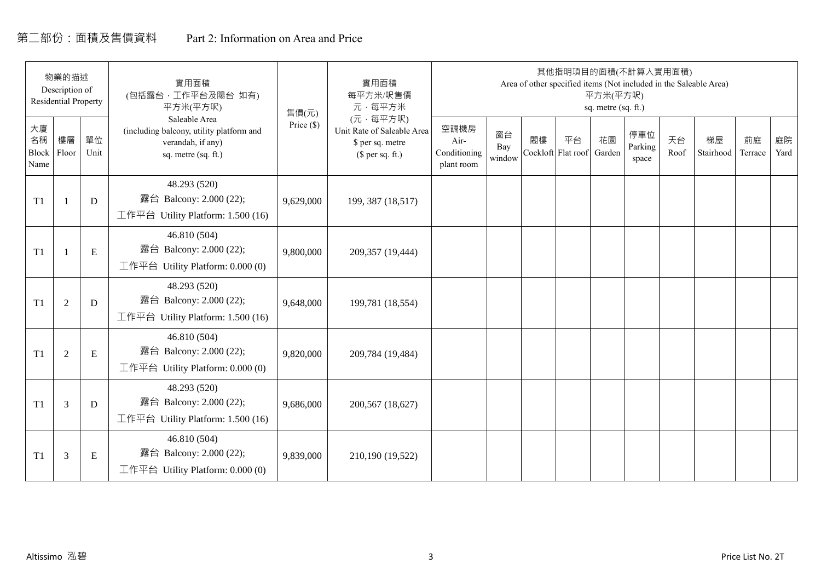# 第二部份:面積及售價資料 Part 2: Information on Area and Price

|                           | 物業的描述<br>Description of<br><b>Residential Property</b> |            | 實用面積<br>(包括露台,工作平台及陽台 如有)<br>平方米(平方呎)                                                                 | 售價(元)      | 實用面積<br>每平方米/呎售價<br>元·每平方米                                                     |                                            |                     |    | 其他指明項目的面積(不計算入實用面積)      | 平方米(平方呎)<br>sq. metre (sq. ft.) |                         |            | Area of other specified items (Not included in the Saleable Area) |               |            |
|---------------------------|--------------------------------------------------------|------------|-------------------------------------------------------------------------------------------------------|------------|--------------------------------------------------------------------------------|--------------------------------------------|---------------------|----|--------------------------|---------------------------------|-------------------------|------------|-------------------------------------------------------------------|---------------|------------|
| 大廈<br>名稱<br>Block<br>Name | 樓層<br>Floor                                            | 單位<br>Unit | Saleable Area<br>(including balcony, utility platform and<br>verandah, if any)<br>sq. metre (sq. ft.) | Price (\$) | (元·每平方呎)<br>Unit Rate of Saleable Area<br>\$ per sq. metre<br>$$$ per sq. ft.) | 空調機房<br>Air-<br>Conditioning<br>plant room | 窗台<br>Bay<br>window | 閣樓 | 平台<br>Cockloft Flat roof | 花園<br>Garden                    | 停車位<br>Parking<br>space | 天台<br>Roof | 梯屋<br>Stairhood                                                   | 前庭<br>Terrace | 庭院<br>Yard |
| T1                        |                                                        | D          | 48.293 (520)<br>露台 Balcony: 2.000 (22);<br>工作平台 Utility Platform: 1.500 (16)                          | 9,629,000  | 199, 387 (18,517)                                                              |                                            |                     |    |                          |                                 |                         |            |                                                                   |               |            |
| T1                        |                                                        | ${\bf E}$  | 46.810 (504)<br>露台 Balcony: 2.000 (22);<br>工作平台 Utility Platform: $0.000(0)$                          | 9,800,000  | 209,357 (19,444)                                                               |                                            |                     |    |                          |                                 |                         |            |                                                                   |               |            |
| T1                        | $\overline{2}$                                         | D          | 48.293 (520)<br>露台 Balcony: 2.000 (22);<br>工作平台 Utility Platform: 1.500 (16)                          | 9,648,000  | 199,781 (18,554)                                                               |                                            |                     |    |                          |                                 |                         |            |                                                                   |               |            |
| T1                        | 2                                                      | ${\bf E}$  | 46.810 (504)<br>露台 Balcony: 2.000 (22);<br>工作平台 Utility Platform: 0.000 (0)                           | 9,820,000  | 209,784 (19,484)                                                               |                                            |                     |    |                          |                                 |                         |            |                                                                   |               |            |
| T1                        | 3                                                      | D          | 48.293 (520)<br>露台 Balcony: 2.000 (22);<br>工作平台 Utility Platform: $1.500(16)$                         | 9,686,000  | 200,567 (18,627)                                                               |                                            |                     |    |                          |                                 |                         |            |                                                                   |               |            |
| T1                        | 3                                                      | Ε          | 46.810 (504)<br>露台 Balcony: 2.000 (22);<br>工作平台 Utility Platform: $0.000(0)$                          | 9,839,000  | 210,190 (19,522)                                                               |                                            |                     |    |                          |                                 |                         |            |                                                                   |               |            |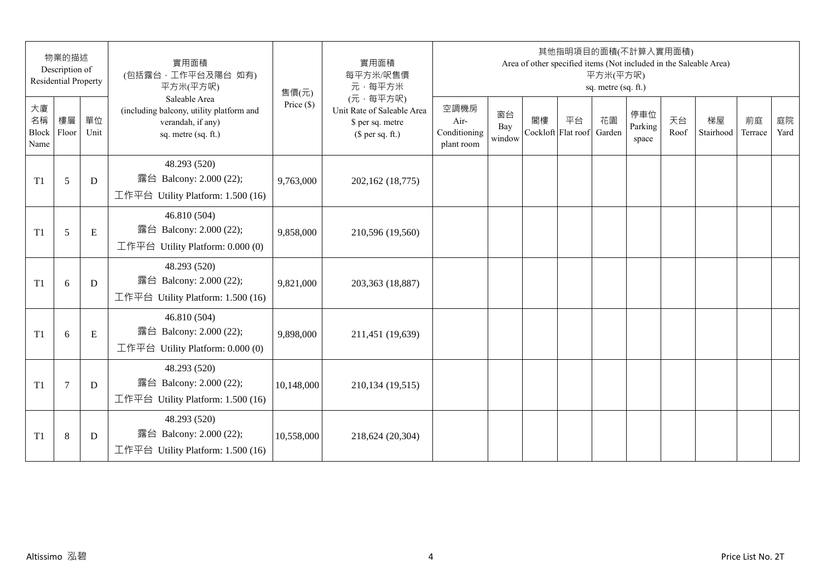|                                 | 物業的描述<br>Description of<br><b>Residential Property</b> |            | 實用面積<br>(包括露台,工作平台及陽台 如有)<br>平方米(平方呎)                                                                 | 售價(元)        | 實用面積<br>每平方米/呎售價<br>元·每平方米                                                     |                                            |                     |                          | 其他指明項目的面積(不計算入實用面積) | 平方米(平方呎)<br>sq. metre (sq. ft.) |                         |            | Area of other specified items (Not included in the Saleable Area) |               |            |
|---------------------------------|--------------------------------------------------------|------------|-------------------------------------------------------------------------------------------------------|--------------|--------------------------------------------------------------------------------|--------------------------------------------|---------------------|--------------------------|---------------------|---------------------------------|-------------------------|------------|-------------------------------------------------------------------|---------------|------------|
| 大廈<br>名稱<br>Block Floor<br>Name | 樓層                                                     | 單位<br>Unit | Saleable Area<br>(including balcony, utility platform and<br>verandah, if any)<br>sq. metre (sq. ft.) | Price $(\$)$ | (元·每平方呎)<br>Unit Rate of Saleable Area<br>\$ per sq. metre<br>$$$ per sq. ft.) | 空調機房<br>Air-<br>Conditioning<br>plant room | 窗台<br>Bay<br>window | 閣樓<br>Cockloft Flat roof | 平台                  | 花園<br>Garden                    | 停車位<br>Parking<br>space | 天台<br>Roof | 梯屋<br>Stairhood                                                   | 前庭<br>Terrace | 庭院<br>Yard |
| T1                              | 5                                                      | D          | 48.293 (520)<br>露台 Balcony: 2.000 (22);<br>工作平台 Utility Platform: 1.500 (16)                          | 9,763,000    | 202,162 (18,775)                                                               |                                            |                     |                          |                     |                                 |                         |            |                                                                   |               |            |
| T1                              | 5                                                      | E          | 46.810 (504)<br>露台 Balcony: 2.000 (22);<br>工作平台 Utility Platform: 0.000 (0)                           | 9,858,000    | 210,596 (19,560)                                                               |                                            |                     |                          |                     |                                 |                         |            |                                                                   |               |            |
| T1                              | 6                                                      | D          | 48.293 (520)<br>露台 Balcony: 2.000 (22);<br>工作平台 Utility Platform: 1.500 (16)                          | 9,821,000    | 203,363 (18,887)                                                               |                                            |                     |                          |                     |                                 |                         |            |                                                                   |               |            |
| T1                              | 6                                                      | ${\bf E}$  | 46.810 (504)<br>露台 Balcony: 2.000 (22);<br>工作平台 Utility Platform: 0.000 (0)                           | 9,898,000    | 211,451 (19,639)                                                               |                                            |                     |                          |                     |                                 |                         |            |                                                                   |               |            |
| T1                              | $\tau$                                                 | D          | 48.293 (520)<br>露台 Balcony: 2.000 (22);<br>工作平台 Utility Platform: 1.500 (16)                          | 10,148,000   | 210,134 (19,515)                                                               |                                            |                     |                          |                     |                                 |                         |            |                                                                   |               |            |
| T1                              | $\,8\,$                                                | D          | 48.293 (520)<br>露台 Balcony: 2.000 (22);<br>工作平台 Utility Platform: 1.500 (16)                          | 10,558,000   | 218,624 (20,304)                                                               |                                            |                     |                          |                     |                                 |                         |            |                                                                   |               |            |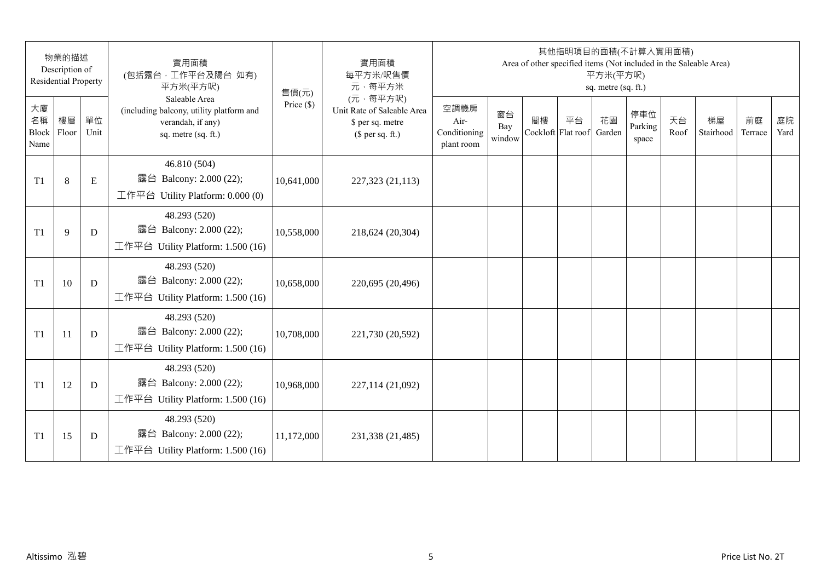|                                 | 物業的描述<br>Description of<br><b>Residential Property</b> |            | 實用面積<br>(包括露台,工作平台及陽台 如有)<br>平方米(平方呎)                                                                 | 售價(元)        | 實用面積<br>每平方米/呎售價<br>元·每平方米                                                     |                                            |                     |    | 其他指明項目的面積(不計算入實用面積)<br>Area of other specified items (Not included in the Saleable Area) | 平方米(平方呎)<br>sq. metre (sq. ft.) |                         |            |                 |               |            |
|---------------------------------|--------------------------------------------------------|------------|-------------------------------------------------------------------------------------------------------|--------------|--------------------------------------------------------------------------------|--------------------------------------------|---------------------|----|------------------------------------------------------------------------------------------|---------------------------------|-------------------------|------------|-----------------|---------------|------------|
| 大廈<br>名稱<br>Block Floor<br>Name | 樓層                                                     | 單位<br>Unit | Saleable Area<br>(including balcony, utility platform and<br>verandah, if any)<br>sq. metre (sq. ft.) | Price $(\$)$ | (元·每平方呎)<br>Unit Rate of Saleable Area<br>\$ per sq. metre<br>$$$ per sq. ft.) | 空調機房<br>Air-<br>Conditioning<br>plant room | 窗台<br>Bay<br>window | 閣樓 | 平台<br>Cockloft Flat roof                                                                 | 花園<br>Garden                    | 停車位<br>Parking<br>space | 天台<br>Roof | 梯屋<br>Stairhood | 前庭<br>Terrace | 庭院<br>Yard |
| T1                              | $\,8\,$                                                | E          | 46.810 (504)<br>露台 Balcony: 2.000 (22);<br>工作平台 Utility Platform: 0.000 (0)                           | 10,641,000   | 227,323 (21,113)                                                               |                                            |                     |    |                                                                                          |                                 |                         |            |                 |               |            |
| T1                              | 9                                                      | D          | 48.293 (520)<br>露台 Balcony: 2.000 (22);<br>工作平台 Utility Platform: 1.500 (16)                          | 10,558,000   | 218,624 (20,304)                                                               |                                            |                     |    |                                                                                          |                                 |                         |            |                 |               |            |
| T1                              | 10                                                     | D          | 48.293 (520)<br>露台 Balcony: 2.000 (22);<br>工作平台 Utility Platform: 1.500 (16)                          | 10,658,000   | 220,695 (20,496)                                                               |                                            |                     |    |                                                                                          |                                 |                         |            |                 |               |            |
| T1                              | 11                                                     | D          | 48.293 (520)<br>露台 Balcony: 2.000 (22);<br>工作平台 Utility Platform: 1.500 (16)                          | 10,708,000   | 221,730 (20,592)                                                               |                                            |                     |    |                                                                                          |                                 |                         |            |                 |               |            |
| T1                              | 12                                                     | D          | 48.293 (520)<br>露台 Balcony: 2.000 (22);<br>工作平台 Utility Platform: 1.500 (16)                          | 10,968,000   | 227,114 (21,092)                                                               |                                            |                     |    |                                                                                          |                                 |                         |            |                 |               |            |
| T1                              | 15                                                     | D          | 48.293 (520)<br>露台 Balcony: 2.000 (22);<br>工作平台 Utility Platform: 1.500 (16)                          | 11,172,000   | 231,338 (21,485)                                                               |                                            |                     |    |                                                                                          |                                 |                         |            |                 |               |            |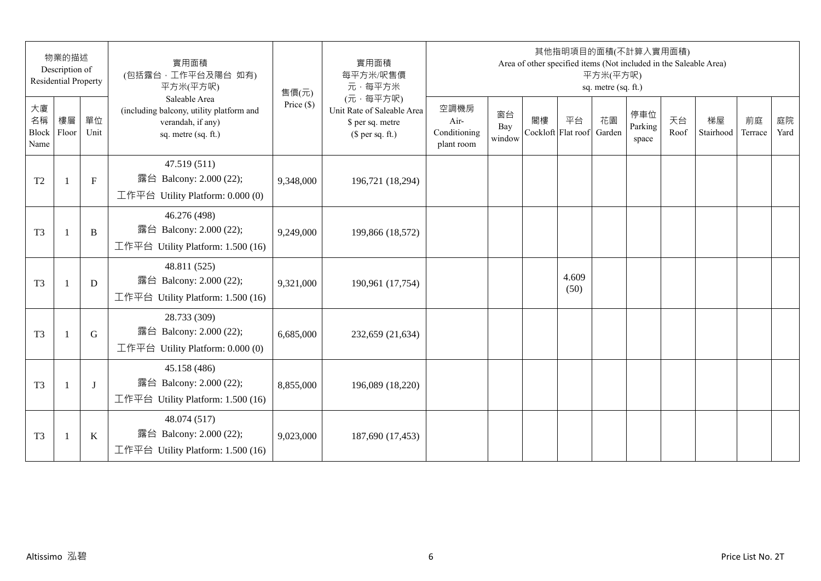|                           | 物業的描述<br>Description of<br><b>Residential Property</b> |            | 實用面積<br>(包括露台,工作平台及陽台 如有)<br>平方米(平方呎)                                                                 | 售價(元)        | 實用面積<br>每平方米/呎售價<br>元·每平方米                                                     |                                            |                     |    | 其他指明項目的面積(不計算入實用面積)<br>Area of other specified items (Not included in the Saleable Area) | 平方米(平方呎)<br>sq. metre (sq. ft.) |                         |            |                 |               |            |
|---------------------------|--------------------------------------------------------|------------|-------------------------------------------------------------------------------------------------------|--------------|--------------------------------------------------------------------------------|--------------------------------------------|---------------------|----|------------------------------------------------------------------------------------------|---------------------------------|-------------------------|------------|-----------------|---------------|------------|
| 大廈<br>名稱<br>Block<br>Name | 樓層<br>Floor                                            | 單位<br>Unit | Saleable Area<br>(including balcony, utility platform and<br>verandah, if any)<br>sq. metre (sq. ft.) | Price $(\$)$ | (元·每平方呎)<br>Unit Rate of Saleable Area<br>\$ per sq. metre<br>(\$ per sq. ft.) | 空調機房<br>Air-<br>Conditioning<br>plant room | 窗台<br>Bay<br>window | 閣樓 | 平台<br>Cockloft Flat roof                                                                 | 花園<br>Garden                    | 停車位<br>Parking<br>space | 天台<br>Roof | 梯屋<br>Stairhood | 前庭<br>Terrace | 庭院<br>Yard |
| T <sub>2</sub>            |                                                        | $F_{\rm}$  | 47.519 (511)<br>露台 Balcony: 2.000 (22);<br>工作平台 Utility Platform: $0.000(0)$                          | 9,348,000    | 196,721 (18,294)                                                               |                                            |                     |    |                                                                                          |                                 |                         |            |                 |               |            |
| T <sub>3</sub>            | $\mathbf{1}$                                           | B          | 46.276 (498)<br>露台 Balcony: 2.000 (22);<br>工作平台 Utility Platform: 1.500 (16)                          | 9,249,000    | 199,866 (18,572)                                                               |                                            |                     |    |                                                                                          |                                 |                         |            |                 |               |            |
| T <sub>3</sub>            | $\mathbf{1}$                                           | D          | 48.811 (525)<br>露台 Balcony: 2.000 (22);<br>工作平台 Utility Platform: 1.500 (16)                          | 9,321,000    | 190,961 (17,754)                                                               |                                            |                     |    | 4.609<br>(50)                                                                            |                                 |                         |            |                 |               |            |
| T <sub>3</sub>            | $\mathbf{1}$                                           | G          | 28.733 (309)<br>露台 Balcony: 2.000 (22);<br>工作平台 Utility Platform: $0.000(0)$                          | 6,685,000    | 232,659 (21,634)                                                               |                                            |                     |    |                                                                                          |                                 |                         |            |                 |               |            |
| T <sub>3</sub>            |                                                        | $\bf{J}$   | 45.158 (486)<br>露台 Balcony: 2.000 (22);<br>工作平台 Utility Platform: 1.500 (16)                          | 8,855,000    | 196,089 (18,220)                                                               |                                            |                     |    |                                                                                          |                                 |                         |            |                 |               |            |
| T <sub>3</sub>            | $\overline{1}$                                         | $\bf K$    | 48.074 (517)<br>露台 Balcony: 2.000 (22);<br>工作平台 Utility Platform: 1.500 (16)                          | 9,023,000    | 187,690 (17,453)                                                               |                                            |                     |    |                                                                                          |                                 |                         |            |                 |               |            |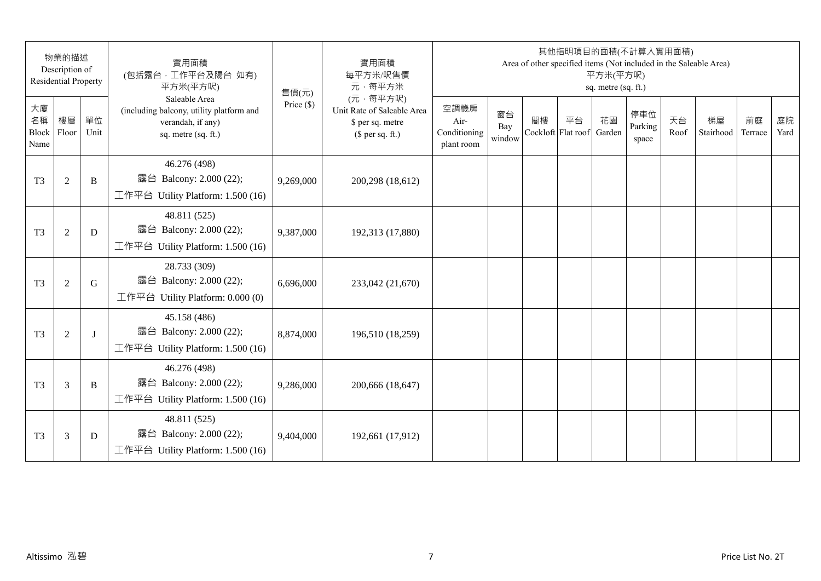|                                 | 物業的描述<br>Description of<br><b>Residential Property</b> |            | 實用面積<br>(包括露台,工作平台及陽台 如有)<br>平方米(平方呎)                                                                 | 售價(元)        | 實用面積<br>每平方米/呎售價<br>元·每平方米                                                     |                                            |                     |    | 其他指明項目的面積(不計算入實用面積)<br>Area of other specified items (Not included in the Saleable Area) | 平方米(平方呎)<br>sq. metre (sq. ft.) |                         |            |                 |               |            |
|---------------------------------|--------------------------------------------------------|------------|-------------------------------------------------------------------------------------------------------|--------------|--------------------------------------------------------------------------------|--------------------------------------------|---------------------|----|------------------------------------------------------------------------------------------|---------------------------------|-------------------------|------------|-----------------|---------------|------------|
| 大廈<br>名稱<br>Block Floor<br>Name | 樓層                                                     | 單位<br>Unit | Saleable Area<br>(including balcony, utility platform and<br>verandah, if any)<br>sq. metre (sq. ft.) | Price $(\$)$ | (元·每平方呎)<br>Unit Rate of Saleable Area<br>\$ per sq. metre<br>$$$ per sq. ft.) | 空調機房<br>Air-<br>Conditioning<br>plant room | 窗台<br>Bay<br>window | 閣樓 | 平台<br>Cockloft Flat roof                                                                 | 花園<br>Garden                    | 停車位<br>Parking<br>space | 天台<br>Roof | 梯屋<br>Stairhood | 前庭<br>Terrace | 庭院<br>Yard |
| T <sub>3</sub>                  | $\overline{2}$                                         | B          | 46.276 (498)<br>露台 Balcony: 2.000 (22);<br>工作平台 Utility Platform: 1.500 (16)                          | 9,269,000    | 200,298 (18,612)                                                               |                                            |                     |    |                                                                                          |                                 |                         |            |                 |               |            |
| T <sub>3</sub>                  | $\mathfrak{2}$                                         | D          | 48.811 (525)<br>露台 Balcony: 2.000 (22);<br>工作平台 Utility Platform: 1.500 (16)                          | 9,387,000    | 192,313 (17,880)                                                               |                                            |                     |    |                                                                                          |                                 |                         |            |                 |               |            |
| T <sub>3</sub>                  | $\mathfrak{2}$                                         | G          | 28.733 (309)<br>露台 Balcony: 2.000 (22);<br>工作平台 Utility Platform: 0.000 (0)                           | 6,696,000    | 233,042 (21,670)                                                               |                                            |                     |    |                                                                                          |                                 |                         |            |                 |               |            |
| T <sub>3</sub>                  | $\overline{2}$                                         | $\bf{J}$   | 45.158 (486)<br>露台 Balcony: 2.000 (22);<br>工作平台 Utility Platform: 1.500 (16)                          | 8,874,000    | 196,510 (18,259)                                                               |                                            |                     |    |                                                                                          |                                 |                         |            |                 |               |            |
| T <sub>3</sub>                  | 3                                                      | B          | 46.276 (498)<br>露台 Balcony: 2.000 (22);<br>工作平台 Utility Platform: 1.500 (16)                          | 9,286,000    | 200,666 (18,647)                                                               |                                            |                     |    |                                                                                          |                                 |                         |            |                 |               |            |
| T <sub>3</sub>                  | 3                                                      | D          | 48.811 (525)<br>露台 Balcony: 2.000 (22);<br>工作平台 Utility Platform: 1.500 (16)                          | 9,404,000    | 192,661 (17,912)                                                               |                                            |                     |    |                                                                                          |                                 |                         |            |                 |               |            |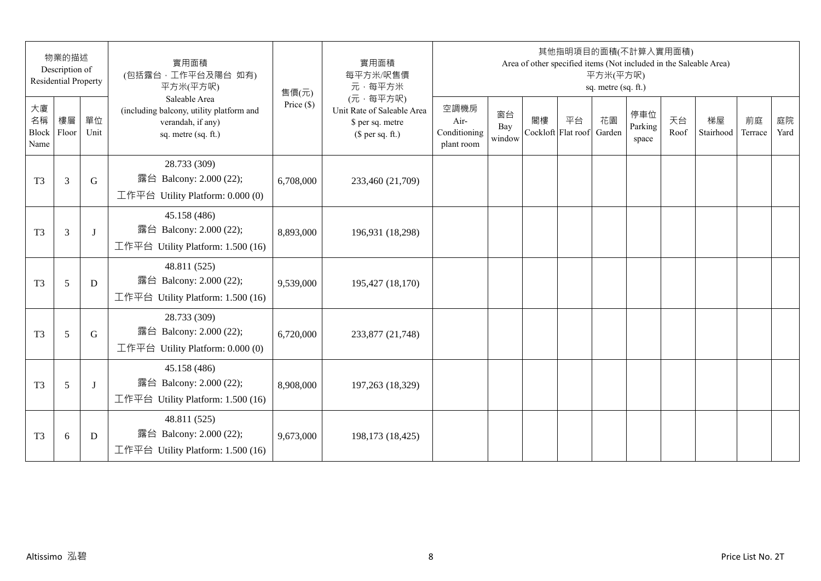|                                 | 物業的描述<br>Description of<br><b>Residential Property</b> |            | 實用面積<br>(包括露台,工作平台及陽台 如有)<br>平方米(平方呎)                                                                 | 售價(元)        | 實用面積<br>每平方米/呎售價<br>元·每平方米                                                     |                                            |                     |                          | 其他指明項目的面積(不計算入實用面積)<br>Area of other specified items (Not included in the Saleable Area) | 平方米(平方呎)<br>sq. metre (sq. ft.) |                         |            |                 |               |            |
|---------------------------------|--------------------------------------------------------|------------|-------------------------------------------------------------------------------------------------------|--------------|--------------------------------------------------------------------------------|--------------------------------------------|---------------------|--------------------------|------------------------------------------------------------------------------------------|---------------------------------|-------------------------|------------|-----------------|---------------|------------|
| 大廈<br>名稱<br>Block Floor<br>Name | 樓層                                                     | 單位<br>Unit | Saleable Area<br>(including balcony, utility platform and<br>verandah, if any)<br>sq. metre (sq. ft.) | Price $(\$)$ | (元·每平方呎)<br>Unit Rate of Saleable Area<br>\$ per sq. metre<br>$$$ per sq. ft.) | 空調機房<br>Air-<br>Conditioning<br>plant room | 窗台<br>Bay<br>window | 閣樓<br>Cockloft Flat roof | 平台                                                                                       | 花園<br>Garden                    | 停車位<br>Parking<br>space | 天台<br>Roof | 梯屋<br>Stairhood | 前庭<br>Terrace | 庭院<br>Yard |
| T <sub>3</sub>                  | 3                                                      | G          | 28.733 (309)<br>露台 Balcony: 2.000 (22);<br>工作平台 Utility Platform: 0.000 (0)                           | 6,708,000    | 233,460 (21,709)                                                               |                                            |                     |                          |                                                                                          |                                 |                         |            |                 |               |            |
| T <sub>3</sub>                  | 3                                                      | J          | 45.158 (486)<br>露台 Balcony: 2.000 (22);<br>工作平台 Utility Platform: 1.500 (16)                          | 8,893,000    | 196,931 (18,298)                                                               |                                            |                     |                          |                                                                                          |                                 |                         |            |                 |               |            |
| T <sub>3</sub>                  | 5                                                      | D          | 48.811 (525)<br>露台 Balcony: 2.000 (22);<br>工作平台 Utility Platform: 1.500 (16)                          | 9,539,000    | 195,427 (18,170)                                                               |                                            |                     |                          |                                                                                          |                                 |                         |            |                 |               |            |
| T <sub>3</sub>                  | 5                                                      | G          | 28.733 (309)<br>露台 Balcony: 2.000 (22);<br>工作平台 Utility Platform: 0.000 (0)                           | 6,720,000    | 233,877 (21,748)                                                               |                                            |                     |                          |                                                                                          |                                 |                         |            |                 |               |            |
| T <sub>3</sub>                  | 5                                                      | J          | 45.158 (486)<br>露台 Balcony: 2.000 (22);<br>工作平台 Utility Platform: 1.500 (16)                          | 8,908,000    | 197,263 (18,329)                                                               |                                            |                     |                          |                                                                                          |                                 |                         |            |                 |               |            |
| T <sub>3</sub>                  | 6                                                      | D          | 48.811 (525)<br>露台 Balcony: 2.000 (22);<br>工作平台 Utility Platform: $1.500(16)$                         | 9,673,000    | 198,173 (18,425)                                                               |                                            |                     |                          |                                                                                          |                                 |                         |            |                 |               |            |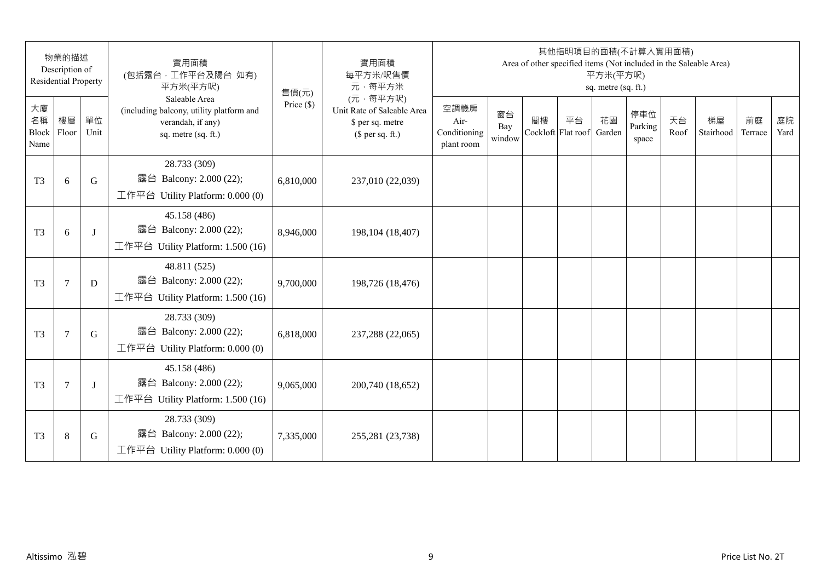|                                 | 物業的描述<br>Description of<br><b>Residential Property</b> |            | 實用面積<br>(包括露台, 工作平台及陽台 如有)<br>平方米(平方呎)                                                                | 售價(元)        | 實用面積<br>每平方米/呎售價<br>元·每平方米                                                     |                                            |                     |                          | 其他指明項目的面積(不計算入實用面積) | 平方米(平方呎)<br>sq. metre (sq. ft.) |                         |            | Area of other specified items (Not included in the Saleable Area) |               |            |
|---------------------------------|--------------------------------------------------------|------------|-------------------------------------------------------------------------------------------------------|--------------|--------------------------------------------------------------------------------|--------------------------------------------|---------------------|--------------------------|---------------------|---------------------------------|-------------------------|------------|-------------------------------------------------------------------|---------------|------------|
| 大廈<br>名稱<br>Block Floor<br>Name | 樓層                                                     | 單位<br>Unit | Saleable Area<br>(including balcony, utility platform and<br>verandah, if any)<br>sq. metre (sq. ft.) | Price $(\$)$ | (元·每平方呎)<br>Unit Rate of Saleable Area<br>\$ per sq. metre<br>$$$ per sq. ft.) | 空調機房<br>Air-<br>Conditioning<br>plant room | 窗台<br>Bay<br>window | 閣樓<br>Cockloft Flat roof | 平台                  | 花園<br>Garden                    | 停車位<br>Parking<br>space | 天台<br>Roof | 梯屋<br>Stairhood                                                   | 前庭<br>Terrace | 庭院<br>Yard |
| T <sub>3</sub>                  | 6                                                      | G          | 28.733 (309)<br>露台 Balcony: 2.000 (22);<br>工作平台 Utility Platform: 0.000 (0)                           | 6,810,000    | 237,010 (22,039)                                                               |                                            |                     |                          |                     |                                 |                         |            |                                                                   |               |            |
| T <sub>3</sub>                  | 6                                                      | $\bf{J}$   | 45.158 (486)<br>露台 Balcony: 2.000 (22);<br>工作平台 Utility Platform: 1.500 (16)                          | 8,946,000    | 198, 104 (18, 407)                                                             |                                            |                     |                          |                     |                                 |                         |            |                                                                   |               |            |
| T <sub>3</sub>                  | $\tau$                                                 | D          | 48.811 (525)<br>露台 Balcony: 2.000 (22);<br>工作平台 Utility Platform: 1.500 (16)                          | 9,700,000    | 198,726 (18,476)                                                               |                                            |                     |                          |                     |                                 |                         |            |                                                                   |               |            |
| T <sub>3</sub>                  | $\overline{7}$                                         | G          | 28.733 (309)<br>露台 Balcony: 2.000 (22);<br>工作平台 Utility Platform: 0.000 (0)                           | 6,818,000    | 237,288 (22,065)                                                               |                                            |                     |                          |                     |                                 |                         |            |                                                                   |               |            |
| T <sub>3</sub>                  | 7                                                      | J          | 45.158 (486)<br>露台 Balcony: 2.000 (22);<br>工作平台 Utility Platform: 1.500 (16)                          | 9,065,000    | 200,740 (18,652)                                                               |                                            |                     |                          |                     |                                 |                         |            |                                                                   |               |            |
| T <sub>3</sub>                  | $\,8\,$                                                | G          | 28.733 (309)<br>露台 Balcony: 2.000 (22);<br>工作平台 Utility Platform: 0.000 (0)                           | 7,335,000    | 255,281 (23,738)                                                               |                                            |                     |                          |                     |                                 |                         |            |                                                                   |               |            |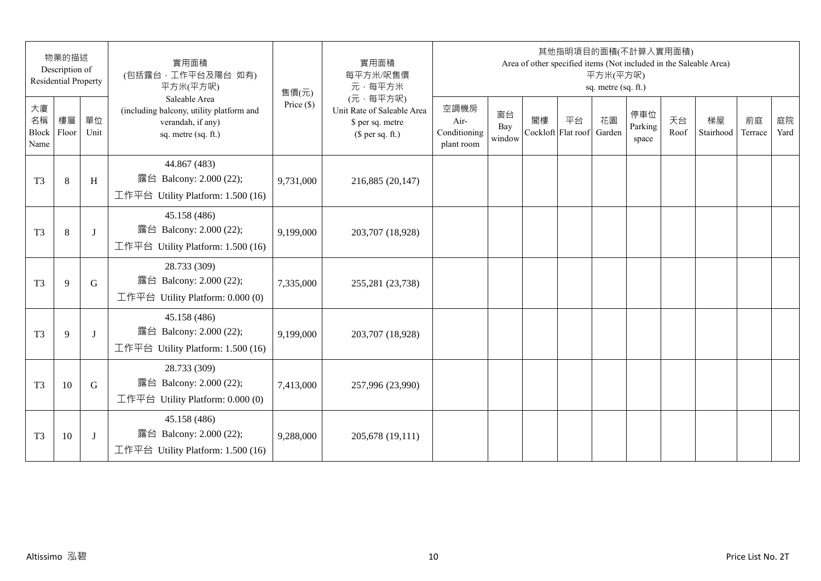|                           | 物業的描述<br>Description of<br><b>Residential Property</b> |            | 實用面積<br>(包括露台,工作平台及陽台 如有)<br>平方米(平方呎)                                                                 | 售價(元)        | 實用面積<br>每平方米/呎售價<br>元·每平方米                                                     |                                            |                     |    | 其他指明項目的面積(不計算入實用面積)      | 平方米(平方呎)<br>sq. metre (sq. ft.) |                         |            | Area of other specified items (Not included in the Saleable Area) |               |            |
|---------------------------|--------------------------------------------------------|------------|-------------------------------------------------------------------------------------------------------|--------------|--------------------------------------------------------------------------------|--------------------------------------------|---------------------|----|--------------------------|---------------------------------|-------------------------|------------|-------------------------------------------------------------------|---------------|------------|
| 大廈<br>名稱<br>Block<br>Name | 樓層<br>Floor                                            | 單位<br>Unit | Saleable Area<br>(including balcony, utility platform and<br>verandah, if any)<br>sq. metre (sq. ft.) | Price $(\$)$ | (元·每平方呎)<br>Unit Rate of Saleable Area<br>\$ per sq. metre<br>$$$ per sq. ft.) | 空調機房<br>Air-<br>Conditioning<br>plant room | 窗台<br>Bay<br>window | 閣樓 | 平台<br>Cockloft Flat roof | 花園<br>Garden                    | 停車位<br>Parking<br>space | 天台<br>Roof | 梯屋<br>Stairhood                                                   | 前庭<br>Terrace | 庭院<br>Yard |
| T <sub>3</sub>            | 8                                                      | H          | 44.867 (483)<br>露台 Balcony: 2.000 (22);<br>工作平台 Utility Platform: 1.500 (16)                          | 9,731,000    | 216,885 (20,147)                                                               |                                            |                     |    |                          |                                 |                         |            |                                                                   |               |            |
| T <sub>3</sub>            | 8                                                      | J          | 45.158 (486)<br>露台 Balcony: 2.000 (22);<br>工作平台 Utility Platform: 1.500 (16)                          | 9,199,000    | 203,707 (18,928)                                                               |                                            |                     |    |                          |                                 |                         |            |                                                                   |               |            |
| T <sub>3</sub>            | 9                                                      | G          | 28.733 (309)<br>露台 Balcony: 2.000 (22);<br>工作平台 Utility Platform: $0.000(0)$                          | 7,335,000    | 255,281 (23,738)                                                               |                                            |                     |    |                          |                                 |                         |            |                                                                   |               |            |
| T <sub>3</sub>            | 9                                                      | J          | 45.158 (486)<br>露台 Balcony: 2.000 (22);<br>工作平台 Utility Platform: 1.500 (16)                          | 9,199,000    | 203,707 (18,928)                                                               |                                            |                     |    |                          |                                 |                         |            |                                                                   |               |            |
| T <sub>3</sub>            | 10                                                     | G          | 28.733 (309)<br>露台 Balcony: 2.000 (22);<br>工作平台 Utility Platform: $0.000(0)$                          | 7,413,000    | 257,996 (23,990)                                                               |                                            |                     |    |                          |                                 |                         |            |                                                                   |               |            |
| T <sub>3</sub>            | 10                                                     | J          | 45.158 (486)<br>露台 Balcony: 2.000 (22);<br>工作平台 Utility Platform: 1.500 (16)                          | 9,288,000    | 205,678 (19,111)                                                               |                                            |                     |    |                          |                                 |                         |            |                                                                   |               |            |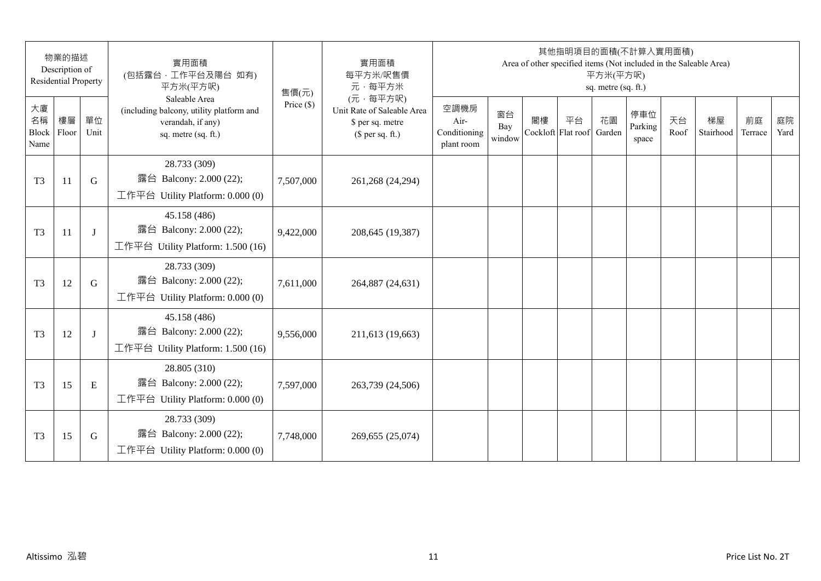| 物業的描述<br>Description of<br><b>Residential Property</b> |    |            | 實用面積<br>(包括露台,工作平台及陽台 如有)<br>平方米(平方呎)                                                                 | 售價(元)        | 實用面積<br>每平方米/呎售價<br>元·每平方米                                                     | 其他指明項目的面積(不計算入實用面積)<br>Area of other specified items (Not included in the Saleable Area)<br>平方米(平方呎)<br>sq. metre (sq. ft.) |                     |    |                          |              |                         |            |                 |               |            |
|--------------------------------------------------------|----|------------|-------------------------------------------------------------------------------------------------------|--------------|--------------------------------------------------------------------------------|-----------------------------------------------------------------------------------------------------------------------------|---------------------|----|--------------------------|--------------|-------------------------|------------|-----------------|---------------|------------|
| 大廈<br>名稱<br>Block Floor<br>Name                        | 樓層 | 單位<br>Unit | Saleable Area<br>(including balcony, utility platform and<br>verandah, if any)<br>sq. metre (sq. ft.) | Price $(\$)$ | (元·每平方呎)<br>Unit Rate of Saleable Area<br>\$ per sq. metre<br>$$$ per sq. ft.) | 空調機房<br>Air-<br>Conditioning<br>plant room                                                                                  | 窗台<br>Bay<br>window | 閣樓 | 平台<br>Cockloft Flat roof | 花園<br>Garden | 停車位<br>Parking<br>space | 天台<br>Roof | 梯屋<br>Stairhood | 前庭<br>Terrace | 庭院<br>Yard |
| T <sub>3</sub>                                         | 11 | G          | 28.733 (309)<br>露台 Balcony: 2.000 (22);<br>工作平台 Utility Platform: 0.000 (0)                           | 7,507,000    | 261,268 (24,294)                                                               |                                                                                                                             |                     |    |                          |              |                         |            |                 |               |            |
| T <sub>3</sub>                                         | 11 | J          | 45.158 (486)<br>露台 Balcony: 2.000 (22);<br>工作平台 Utility Platform: 1.500 (16)                          | 9,422,000    | 208,645 (19,387)                                                               |                                                                                                                             |                     |    |                          |              |                         |            |                 |               |            |
| T <sub>3</sub>                                         | 12 | G          | 28.733 (309)<br>露台 Balcony: 2.000 (22);<br>工作平台 Utility Platform: 0.000 (0)                           | 7,611,000    | 264,887 (24,631)                                                               |                                                                                                                             |                     |    |                          |              |                         |            |                 |               |            |
| T <sub>3</sub>                                         | 12 | J          | 45.158 (486)<br>露台 Balcony: 2.000 (22);<br>工作平台 Utility Platform: 1.500 (16)                          | 9,556,000    | 211,613 (19,663)                                                               |                                                                                                                             |                     |    |                          |              |                         |            |                 |               |            |
| T <sub>3</sub>                                         | 15 | E          | 28.805 (310)<br>露台 Balcony: 2.000 (22);<br>工作平台 Utility Platform: $0.000(0)$                          | 7,597,000    | 263,739 (24,506)                                                               |                                                                                                                             |                     |    |                          |              |                         |            |                 |               |            |
| T <sub>3</sub>                                         | 15 | G          | 28.733 (309)<br>露台 Balcony: 2.000 (22);<br>工作平台 Utility Platform: 0.000 (0)                           | 7,748,000    | 269,655 (25,074)                                                               |                                                                                                                             |                     |    |                          |              |                         |            |                 |               |            |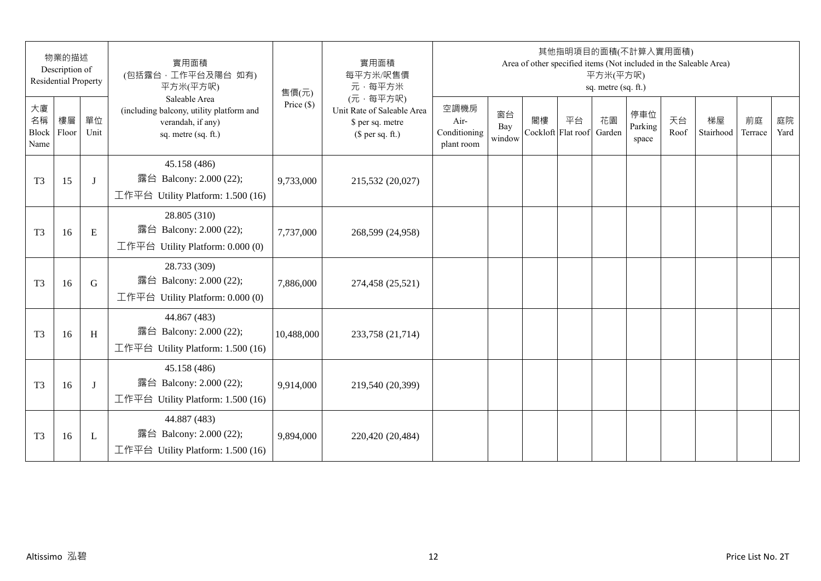| 物業的描述<br>Description of<br><b>Residential Property</b> |    |              | 實用面積<br>(包括露台,工作平台及陽台 如有)<br>平方米(平方呎)                                                                 | 售價(元)        | 實用面積<br>每平方米/呎售價<br>元·每平方米                                                     | 其他指明項目的面積(不計算入實用面積)<br>Area of other specified items (Not included in the Saleable Area)<br>平方米(平方呎)<br>sq. metre (sq. ft.) |                     |                          |    |              |                         |            |                 |               |            |
|--------------------------------------------------------|----|--------------|-------------------------------------------------------------------------------------------------------|--------------|--------------------------------------------------------------------------------|-----------------------------------------------------------------------------------------------------------------------------|---------------------|--------------------------|----|--------------|-------------------------|------------|-----------------|---------------|------------|
| 大廈<br>名稱<br>Block Floor<br>Name                        | 樓層 | 單位<br>Unit   | Saleable Area<br>(including balcony, utility platform and<br>verandah, if any)<br>sq. metre (sq. ft.) | Price $(\$)$ | (元·每平方呎)<br>Unit Rate of Saleable Area<br>\$ per sq. metre<br>$$$ per sq. ft.) | 空調機房<br>Air-<br>Conditioning<br>plant room                                                                                  | 窗台<br>Bay<br>window | 閣樓<br>Cockloft Flat roof | 平台 | 花園<br>Garden | 停車位<br>Parking<br>space | 天台<br>Roof | 梯屋<br>Stairhood | 前庭<br>Terrace | 庭院<br>Yard |
| T <sub>3</sub>                                         | 15 | J            | 45.158 (486)<br>露台 Balcony: 2.000 (22);<br>工作平台 Utility Platform: 1.500 (16)                          | 9,733,000    | 215,532 (20,027)                                                               |                                                                                                                             |                     |                          |    |              |                         |            |                 |               |            |
| T <sub>3</sub>                                         | 16 | E            | 28.805 (310)<br>露台 Balcony: 2.000 (22);<br>工作平台 Utility Platform: 0.000 (0)                           | 7,737,000    | 268,599 (24,958)                                                               |                                                                                                                             |                     |                          |    |              |                         |            |                 |               |            |
| T <sub>3</sub>                                         | 16 | G            | 28.733 (309)<br>露台 Balcony: 2.000 (22);<br>工作平台 Utility Platform: 0.000 (0)                           | 7,886,000    | 274,458 (25,521)                                                               |                                                                                                                             |                     |                          |    |              |                         |            |                 |               |            |
| T <sub>3</sub>                                         | 16 | H            | 44.867 (483)<br>露台 Balcony: 2.000 (22);<br>工作平台 Utility Platform: 1.500 (16)                          | 10,488,000   | 233,758 (21,714)                                                               |                                                                                                                             |                     |                          |    |              |                         |            |                 |               |            |
| T <sub>3</sub>                                         | 16 | J            | 45.158 (486)<br>露台 Balcony: 2.000 (22);<br>工作平台 Utility Platform: 1.500 (16)                          | 9,914,000    | 219,540 (20,399)                                                               |                                                                                                                             |                     |                          |    |              |                         |            |                 |               |            |
| T <sub>3</sub>                                         | 16 | $\mathbf{L}$ | 44.887 (483)<br>露台 Balcony: 2.000 (22);<br>工作平台 Utility Platform: $1.500(16)$                         | 9,894,000    | 220,420 (20,484)                                                               |                                                                                                                             |                     |                          |    |              |                         |            |                 |               |            |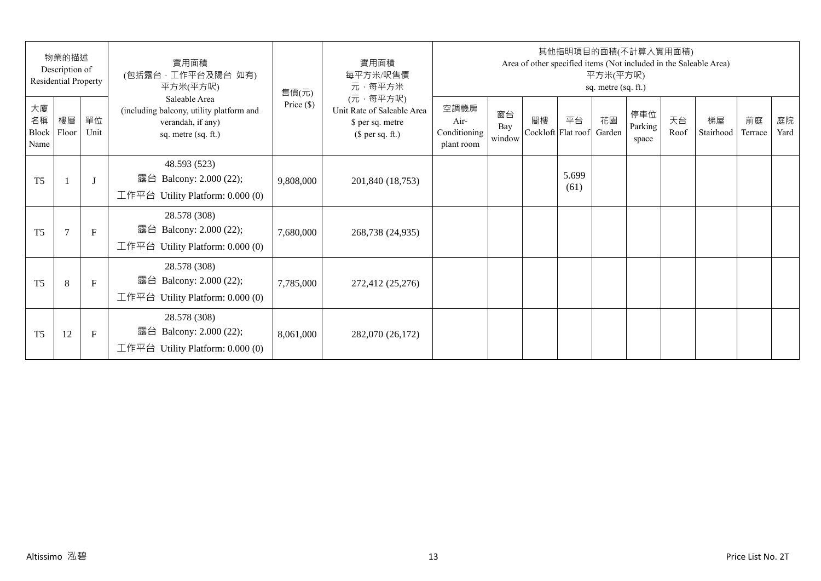| 物業的描述<br>Description of<br>Residential Property |                |              | 實用面積<br>(包括露台,工作平台及陽台 如有)<br>平方米(平方呎)                                                                 | 售價(元)        | 實用面積<br>每平方米/呎售價<br>元·每平方米                                                     | 其他指明項目的面積(不計算入實用面積)<br>Area of other specified items (Not included in the Saleable Area)<br>平方米(平方呎)<br>sq. metre (sq. ft.) |                     |    |                          |              |                         |            |                 |               |            |  |
|-------------------------------------------------|----------------|--------------|-------------------------------------------------------------------------------------------------------|--------------|--------------------------------------------------------------------------------|-----------------------------------------------------------------------------------------------------------------------------|---------------------|----|--------------------------|--------------|-------------------------|------------|-----------------|---------------|------------|--|
| 大廈<br>名稱<br>Block<br>Name                       | 樓層<br>Floor    | 單位<br>Unit   | Saleable Area<br>(including balcony, utility platform and<br>verandah, if any)<br>sq. metre (sq. ft.) | Price $(\$)$ | (元·每平方呎)<br>Unit Rate of Saleable Area<br>\$ per sq. metre<br>$$$ per sq. ft.) | 空調機房<br>Air-<br>Conditioning<br>plant room                                                                                  | 窗台<br>Bay<br>window | 閣樓 | 平台<br>Cockloft Flat roof | 花園<br>Garden | 停車位<br>Parking<br>space | 天台<br>Roof | 梯屋<br>Stairhood | 前庭<br>Terrace | 庭院<br>Yard |  |
| T <sub>5</sub>                                  |                | $\mathbf{J}$ | 48.593 (523)<br>露台 Balcony: 2.000 (22);<br>工作平台 Utility Platform: 0.000 (0)                           | 9,808,000    | 201,840 (18,753)                                                               |                                                                                                                             |                     |    | 5.699<br>(61)            |              |                         |            |                 |               |            |  |
| T <sub>5</sub>                                  | $\overline{7}$ | $\mathbf{F}$ | 28.578 (308)<br>露台 Balcony: 2.000 (22);<br>工作平台 Utility Platform: $0.000(0)$                          | 7,680,000    | 268,738 (24,935)                                                               |                                                                                                                             |                     |    |                          |              |                         |            |                 |               |            |  |
| T <sub>5</sub>                                  | 8              | $\mathbf{F}$ | 28.578 (308)<br>露台 Balcony: 2.000 (22);<br>工作平台 Utility Platform: $0.000(0)$                          | 7,785,000    | 272,412 (25,276)                                                               |                                                                                                                             |                     |    |                          |              |                         |            |                 |               |            |  |
| T <sub>5</sub>                                  | 12             | F            | 28.578 (308)<br>Balcony: 2.000 (22);<br>露台<br>工作平台 Utility Platform: $0.000(0)$                       | 8,061,000    | 282,070 (26,172)                                                               |                                                                                                                             |                     |    |                          |              |                         |            |                 |               |            |  |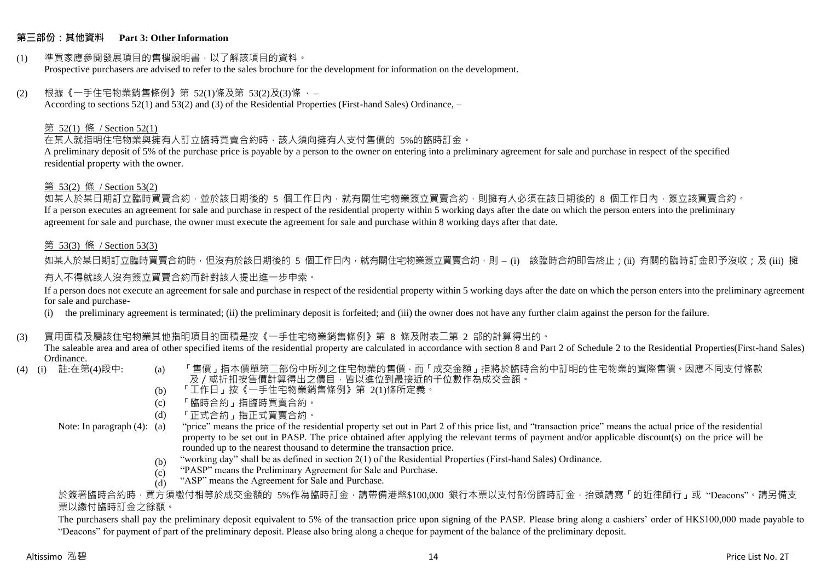#### **第三部份:其他資料 Part 3: Other Information**

#### (1) 準買家應參閱發展項目的售樓說明書,以了解該項目的資料。 Prospective purchasers are advised to refer to the sales brochure for the development for information on the development.

#### $(2)$  根據《一手住宅物業銷售條例》第 52(1)條及第 53(2)及(3)條,

According to sections 52(1) and 53(2) and (3) of the Residential Properties (First-hand Sales) Ordinance, –

### 第 52(1) 條 / Section 52(1)

在某人就指明住宅物業與擁有人訂立臨時買賣合約時,該人須向擁有人支付售價的 5%的臨時訂金。

A preliminary deposit of 5% of the purchase price is payable by a person to the owner on entering into a preliminary agreement for sale and purchase in respect of the specified residential property with the owner.

#### 第 53(2) 條 / Section 53(2)

如某人於某日期訂立臨時買賣合約,並於該日期後的 5 個工作日內,就有關住宅物業簽立買賣合約,則擁有人必須在該日期後的 8 個工作日內,簽立該買賣合約。 If a person executes an agreement for sale and purchase in respect of the residential property within 5 working days after the date on which the person enters into the preliminary agreement for sale and purchase, the owner must execute the agreement for sale and purchase within 8 working days after that date.

### 第 53(3) 條 / Section 53(3)

如某人於某日期訂立臨時買賣合約時,但沒有於該日期後的 5 個工作日內,就有關住宅物業簽立買賣合約,則 – (i) 該臨時合約即告終止;(ii) 有關的臨時訂金即予沒收;及 (iii) 擁 有人不得就該人沒有簽立買賣合約而針對該人提出進一步申索。

If a person does not execute an agreement for sale and purchase in respect of the residential property within 5 working days after the date on which the person enters into the preliminary agreement for sale and purchase-

(i) the preliminary agreement is terminated; (ii) the preliminary deposit is forfeited; and (iii) the owner does not have any further claim against the person for the failure.

#### (3) 實用面積及屬該住宅物業其他指明項目的面積是按《一手住宅物業銷售條例》第 8 條及附表二第 2 部的計算得出的。

The saleable area and area of other specified items of the residential property are calculated in accordance with section 8 and Part 2 of Schedule 2 to the Residential Properties(First-hand Sales) Ordinance.<br>(4) (i) 註:在第(4)段中:

- 
- (a) 「售價」指本價單第二部份中所列之住宅物業的售價,而「成交金額」指將於臨時合約中訂明的住宅物業的實際售價。因應不同支付條款 及/或折扣按售價計算得出之價目,皆以進位到最接近的千位數作為成交金額。
- (b) 「工作日」按《一手住宅物業銷售條例》第 2(1)條所定義。
- (c) 「臨時合約」指臨時買賣合約。
- (d) 「正式合約」指正式買賣合約。
- Note: In paragraph (4): (a)
- "price" means the price of the residential property set out in Part 2 of this price list, and "transaction price" means the actual price of the residential property to be set out in PASP. The price obtained after applying the relevant terms of payment and/or applicable discount(s) on the price will be rounded up to the nearest thousand to determine the transaction price.
	- (b) "working day" shall be as defined in section 2(1) of the Residential Properties (First-hand Sales) Ordinance.
	- (c) "PASP" means the Preliminary Agreement for Sale and Purchase.
	- (d) "ASP" means the Agreement for Sale and Purchase.

於簽署臨時合約時,買方須繳付相等於成交金額的 5%作為臨時訂金,請帶備港幣\$100,000 銀行本票以支付部份臨時訂金,抬頭請寫「的近律師行」或"Deacons"。請另備支 票以繳付臨時訂金之餘額。

The purchasers shall pay the preliminary deposit equivalent to 5% of the transaction price upon signing of the PASP. Please bring along a cashiers' order of HK\$100,000 made payable to "Deacons" for payment of part of the preliminary deposit. Please also bring along a cheque for payment of the balance of the preliminary deposit.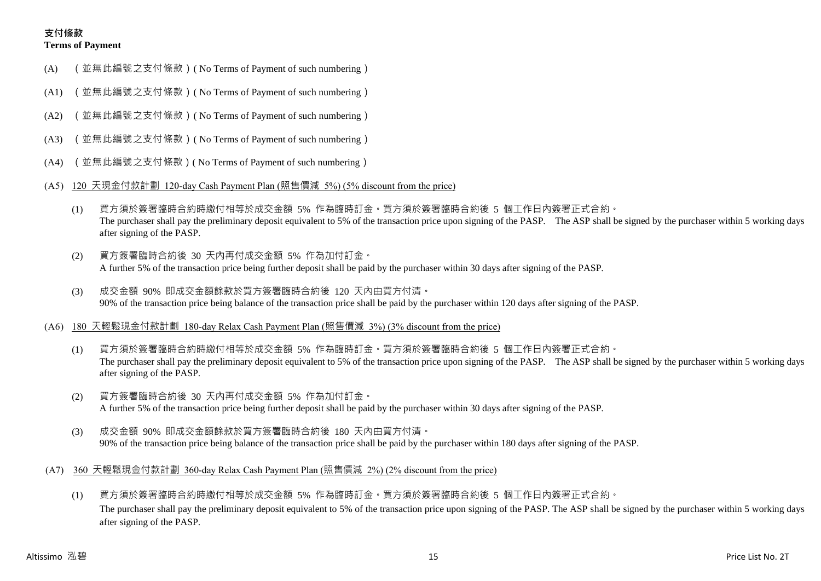## **支付條款 Terms of Payment**

- (A) (並無此編號之支付條款)( No Terms of Payment of such numbering)
- (A1) (並無此編號之支付條款)( No Terms of Payment of such numbering)
- (A2) (並無此編號之支付條款)( No Terms of Payment of such numbering)
- (A3) (並無此編號之支付條款)( No Terms of Payment of such numbering)
- (A4) (並無此編號之支付條款)( No Terms of Payment of such numbering)
- (A5) 120 天現金付款計劃 120-day Cash Payment Plan (照售價減 5%) (5% discount from the price)
	- (1) 買方須於簽署臨時合約時繳付相等於成交金額 5% 作為臨時訂金。買方須於簽署臨時合約後 5 個工作日內簽署正式合約。 The purchaser shall pay the preliminary deposit equivalent to 5% of the transaction price upon signing of the PASP. The ASP shall be signed by the purchaser within 5 working days after signing of the PASP.
	- (2) 買方簽署臨時合約後 30 天內再付成交金額 5% 作為加付訂金。 A further 5% of the transaction price being further deposit shall be paid by the purchaser within 30 days after signing of the PASP.
	- (3) 成交金額 90% 即成交金額餘款於買方簽署臨時合約後 120 天內由買方付清。 90% of the transaction price being balance of the transaction price shall be paid by the purchaser within 120 days after signing of the PASP.
- (A6) 180 天輕鬆現金付款計劃 180-day Relax Cash Payment Plan (照售價減 3%) (3% discount from the price)
	- (1) 買方須於簽署臨時合約時繳付相等於成交金額 5% 作為臨時訂金。買方須於簽署臨時合約後 5 個工作日內簽署正式合約。 The purchaser shall pay the preliminary deposit equivalent to 5% of the transaction price upon signing of the PASP. The ASP shall be signed by the purchaser within 5 working days after signing of the PASP.
	- (2) 買方簽署臨時合約後 30 天內再付成交金額 5% 作為加付訂金。 A further 5% of the transaction price being further deposit shall be paid by the purchaser within 30 days after signing of the PASP.
	- (3) 成交金額 90% 即成交金額餘款於買方簽署臨時合約後 180 天內由買方付清。 90% of the transaction price being balance of the transaction price shall be paid by the purchaser within 180 days after signing of the PASP.
- (A7) 360 天輕鬆現金付款計劃 360-day Relax Cash Payment Plan (照售價減 2%) (2% discount from the price)
	- (1) 買方須於簽署臨時合約時繳付相等於成交金額 5% 作為臨時訂金。買方須於簽署臨時合約後 5 個工作日內簽署正式合約。 The purchaser shall pay the preliminary deposit equivalent to 5% of the transaction price upon signing of the PASP. The ASP shall be signed by the purchaser within 5 working days after signing of the PASP.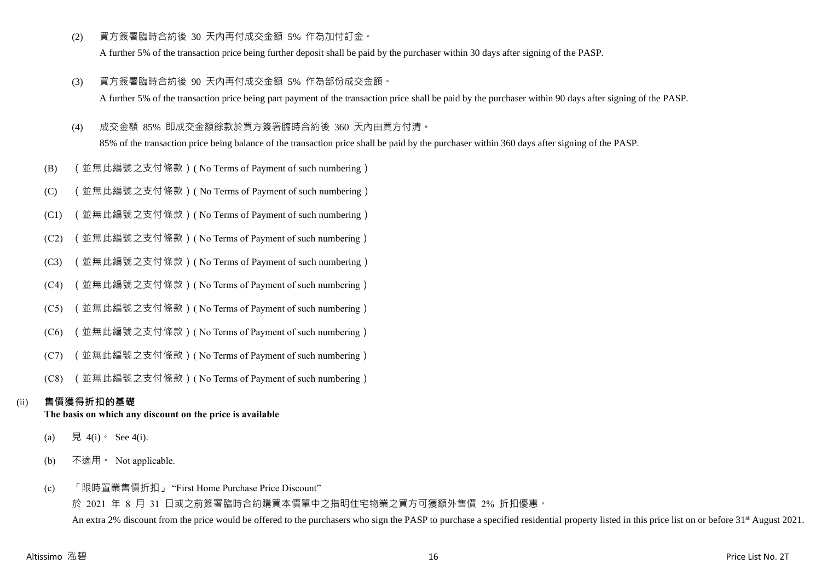(2) 買方簽署臨時合約後 30 天內再付成交金額 5% 作為加付訂金。

A further 5% of the transaction price being further deposit shall be paid by the purchaser within 30 days after signing of the PASP.

- (3) 買方簽署臨時合約後 90 天內再付成交金額 5% 作為部份成交金額。 A further 5% of the transaction price being part payment of the transaction price shall be paid by the purchaser within 90 days after signing of the PASP.
- (4) 成交金額 85% 即成交金額餘款於買方簽署臨時合約後 360 天內由買方付清。

85% of the transaction price being balance of the transaction price shall be paid by the purchaser within 360 days after signing of the PASP.

- (B) (並無此編號之支付條款)( No Terms of Payment of such numbering)
- (C) (並無此編號之支付條款)( No Terms of Payment of such numbering)
- (C1) (並無此編號之支付條款)( No Terms of Payment of such numbering)
- (C2) (並無此編號之支付條款)( No Terms of Payment of such numbering)
- (C3) (並無此編號之支付條款)( No Terms of Payment of such numbering)
- (C4) (並無此編號之支付條款)( No Terms of Payment of such numbering)
- (C5) (並無此編號之支付條款)( No Terms of Payment of such numbering)
- (C6) (並無此編號之支付條款)( No Terms of Payment of such numbering)
- (C7) (並無此編號之支付條款)( No Terms of Payment of such numbering)
- (C8) (並無此編號之支付條款)( No Terms of Payment of such numbering)

# (ii) **售價獲得折扣的基礎**

## **The basis on which any discount on the price is available**

- (a) 見 4(i) See 4(i).
- (b) 不適用。 Not applicable.
- (c) 「限時置業售價折扣」 "First Home Purchase Price Discount"

於 2021 年 8 月 31 日或之前簽署臨時合約購買本價單中之指明住宅物業之買方可獲額外售價 2% 折扣優惠。 An extra 2% discount from the price would be offered to the purchasers who sign the PASP to purchase a specified residential property listed in this price list on or before 31<sup>st</sup> August 2021.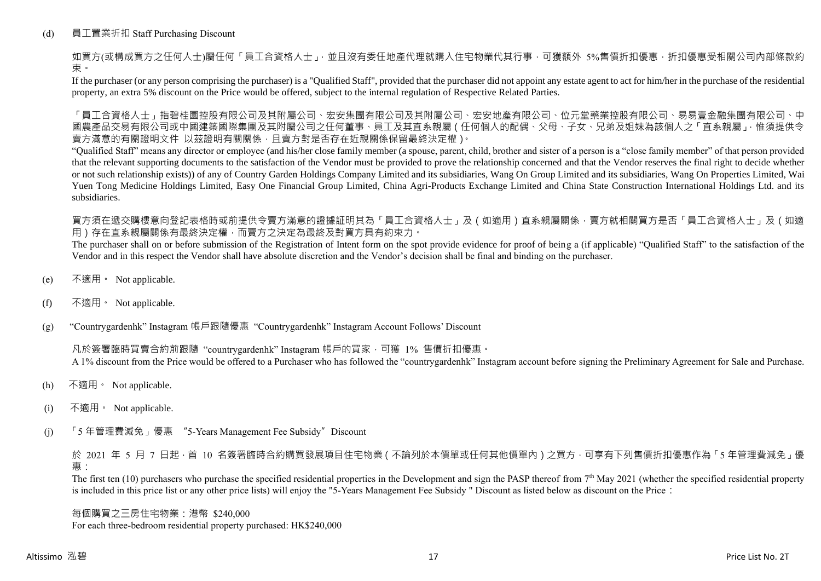## (d) 員工置業折扣 Staff Purchasing Discount

如買方(或構成買方之任何人士)屬任何「員工合資格人士」,並且沒有委任地產代理就購入住宅物業代其行事,可獲額外 5%售價折扣優惠,折扣優惠受相關公司內部條款約 束。

If the purchaser (or any person comprising the purchaser) is a "Qualified Staff", provided that the purchaser did not appoint any estate agent to act for him/her in the purchase of the residential property, an extra 5% discount on the Price would be offered, subject to the internal regulation of Respective Related Parties.

「員工合資格人士」指碧桂園控股有限公司及其附屬公司、宏安集團有限公司及其附屬公司、宏安地產有限公司、位元堂藥業控股有限公司、易易壹金融集團有限公司、中 國農產品交易有限公司或中國建築國際集團及其附屬公司之任何董事、員工及其直系親屬(任何個人的配偶、父母、子女、兄弟及姐妹為該個人之「直系親屬」,惟須提供令 賣方滿意的有關證明文件 以茲證明有關關係,且賣方對是否存在近親關係保留最終決定權)。

"Qualified Staff" means any director or employee (and his/her close family member (a spouse, parent, child, brother and sister of a person is a "close family member" of that person provided that the relevant supporting documents to the satisfaction of the Vendor must be provided to prove the relationship concerned and that the Vendor reserves the final right to decide whether or not such relationship exists)) of any of Country Garden Holdings Company Limited and its subsidiaries, Wang On Group Limited and its subsidiaries, Wang On Properties Limited, Wai Yuen Tong Medicine Holdings Limited, Easy One Financial Group Limited, China Agri-Products Exchange Limited and China State Construction International Holdings Ltd. and its subsidiaries.

買方須在遞交購樓意向登記表格時或前提供令賣方滿意的證據証明其為「員工合資格人士」及(如適用)直系親屬關係,賣方就相關買方是否「員工合資格人士」及(如適 用)存在直系親屬關係有最終決定權,而賣方之決定為最終及對買方具有約束力。

The purchaser shall on or before submission of the Registration of Intent form on the spot provide evidence for proof of being a (if applicable) "Qualified Staff" to the satisfaction of the Vendor and in this respect the Vendor shall have absolute discretion and the Vendor's decision shall be final and binding on the purchaser.

- (e) 不適用。 Not applicable.
- (f) 不適用。 Not applicable.

(g) "Countrygardenhk" Instagram 帳戶跟隨優惠 "Countrygardenhk" Instagram Account Follows' Discount

凡於簽署臨時買賣合約前跟隨 "countrygardenhk" Instagram 帳戶的買家,可獲 1% 售價折扣優惠。 A 1% discount from the Price would be offered to a Purchaser who has followed the "countrygardenhk" Instagram account before signing the Preliminary Agreement for Sale and Purchase.

- (h) 不適用。 Not applicable.
- (i) 不適用。 Not applicable.
- (j) 「5 年管理費減免」優惠 "5-Years Management Fee Subsidy"Discount

於 2021 年 5 月 7 日起,首 10 名簽署臨時合約購買發展項目住宅物業 ( 不論列於本價單或任何其他價單內 ) 之買方, 可享有下列售價折扣優惠作為 「5 年管理費減免」優 惠:

The first ten  $(10)$  purchasers who purchase the specified residential properties in the Development and sign the PASP thereof from  $7<sup>th</sup>$  May 2021 (whether the specified residential property is included in this price list or any other price lists) will enjoy the "5-Years Management Fee Subsidy " Discount as listed below as discount on the Price:

每個購買之三房住宅物業:港幣 \$240,000 For each three-bedroom residential property purchased: HK\$240,000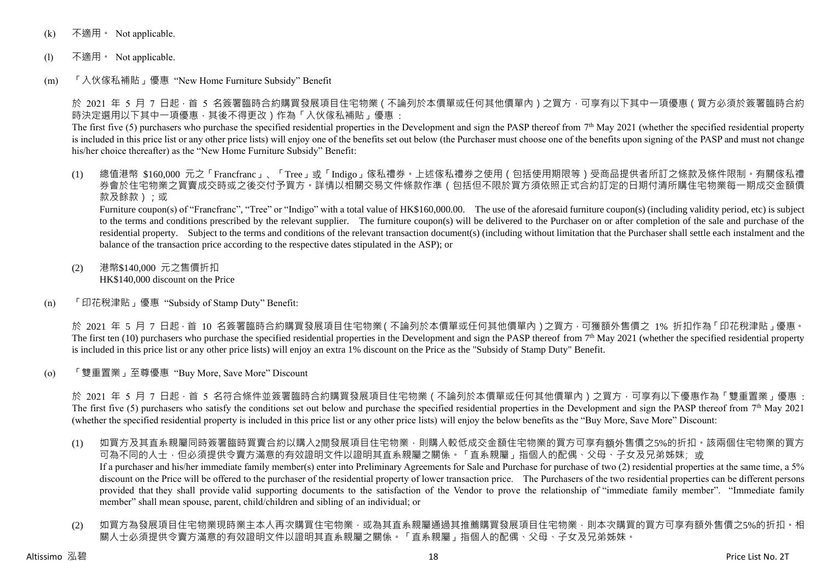- (k) 不適用 · Not applicable.
- (l) 不適用。 Not applicable.
- (m) 「入伙傢私補貼」優惠 "New Home Furniture Subsidy" Benefit

於 2021 年 5 月 7 日起 · 首 5 名簽署臨時合約購買發展項目住宅物業 ( 不論列於本價單或任何其他價單內 ) 之買方 · 可享有以下其中一項優惠 ( 買方必須於簽署臨時合約 時決定選用以下其中一項優惠,其後不得更改)作為「入伙傢私補貼」優惠:

The first five (5) purchasers who purchase the specified residential properties in the Development and sign the PASP thereof from  $7<sup>th</sup>$  May 2021 (whether the specified residential property is included in this price list or any other price lists) will enjoy one of the benefits set out below (the Purchaser must choose one of the benefits upon signing of the PASP and must not change his/her choice thereafter) as the "New Home Furniture Subsidy" Benefit:

(1) 總值港幣 \$160,000 元之「Francfranc」、「Tree」或「Indigo」傢私禮券。上述傢私禮券之使用(包括使用期限等)受商品提供者所訂之條款及條件限制。有關傢私禮 券會於住宅物業之買賣成交時或之後交付予買方。詳情以相關交易文件條款作準(包括但不限於買方須依照正式合約訂定的日期付清所購住宅物業每一期成交金額價 款及餘款);或

Furniture coupon(s) of "Francfranc", "Tree" or "Indigo" with a total value of HK\$160,000.00. The use of the aforesaid furniture coupon(s) (including validity period, etc) is subject to the terms and conditions prescribed by the relevant supplier. The furniture coupon(s) will be delivered to the Purchaser on or after completion of the sale and purchase of the residential property. Subject to the terms and conditions of the relevant transaction document(s) (including without limitation that the Purchaser shall settle each instalment and the balance of the transaction price according to the respective dates stipulated in the ASP); or

- (2) 港幣\$140,000 元之售價折扣 HK\$140,000 discount on the Price
- (n) 「印花稅津貼」優惠 "Subsidy of Stamp Duty" Benefit:

於 2021 年 5 月 7 日起,首 10 名簽署臨時合約購買發展項目住宅物業(不論列於本價單或任何其他價單內)之買方,可獲額外售價之 1% 折扣作為「印花稅津貼」優惠。 The first ten (10) purchasers who purchase the specified residential properties in the Development and sign the PASP thereof from  $7<sup>th</sup>$  May 2021 (whether the specified residential property is included in this price list or any other price lists) will enjoy an extra 1% discount on the Price as the "Subsidy of Stamp Duty" Benefit.

(o) 「雙重置業」至尊優惠 "Buy More, Save More" Discount

於 2021 年 5 月 7 日起,首 5 名符合條件並簽署臨時合約購買發展項目住宅物業 ( 不論列於本價單或任何其他價單內 ) 之買方,可享有以下優惠作為「雙重置業」優惠 : The first five (5) purchasers who satisfy the conditions set out below and purchase the specified residential properties in the Development and sign the PASP thereof from  $7<sup>th</sup>$  May 2021 (whether the specified residential property is included in this price list or any other price lists) will enjoy the below benefits as the "Buy More, Save More" Discount:

- (1) 如買方及其直系親屬同時簽署臨時買賣合約以購入2間發展項目住宅物業,則購入較低成交金額住宅物業的買方可享有額外售價之5%的折扣。該兩個住宅物業的買方 可為不同的人士,但必須提供令賣方滿意的有效證明文件以證明其直系親屬之關係。「直系親屬」指個人的配偶、父母、子女及兄弟姊妹;或 If a purchaser and his/her immediate family member(s) enter into Preliminary Agreements for Sale and Purchase for purchase of two (2) residential properties at the same time, a 5% discount on the Price will be offered to the purchaser of the residential property of lower transaction price. The Purchasers of the two residential properties can be different persons provided that they shall provide valid supporting documents to the satisfaction of the Vendor to prove the relationship of "immediate family member". "Immediate family member" shall mean spouse, parent, child/children and sibling of an individual; or
- (2) 如買方為發展項目住宅物業現時業主本人再次購買住宅物業,或為其直系親屬通過其推薦購買發展項目住宅物業,則本次購買的買方可享有額外售價之5%的折扣。相 關人士必須提供令賣方滿意的有效證明文件以證明其直系親屬之關係。「直系親屬」指個人的配偶、父母、子女及兄弟姊妹。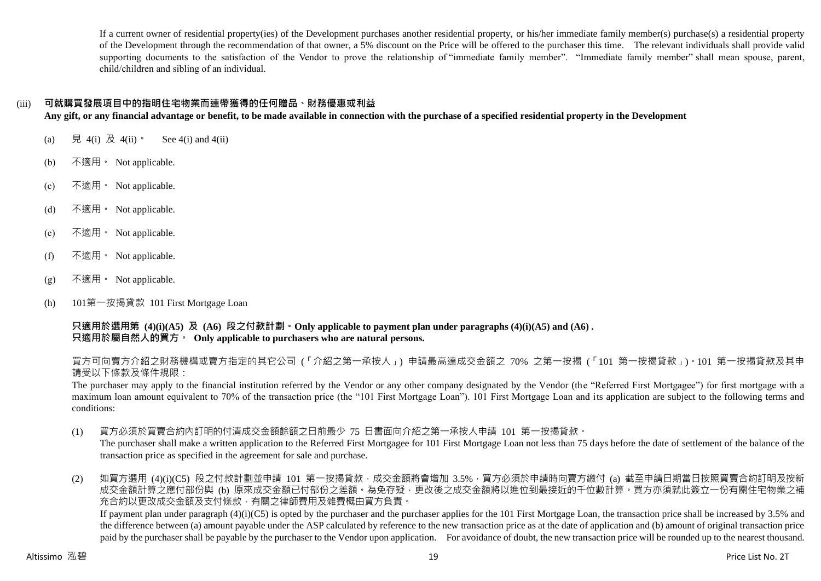If a current owner of residential property(ies) of the Development purchases another residential property, or his/her immediate family member(s) purchase(s) a residential property of the Development through the recommendation of that owner, a 5% discount on the Price will be offered to the purchaser this time. The relevant individuals shall provide valid supporting documents to the satisfaction of the Vendor to prove the relationship of "immediate family member". "Immediate family member" shall mean spouse, parent, child/children and sibling of an individual.

## (iii) **可就購買發展項目中的指明住宅物業而連帶獲得的任何贈品、財務優惠或利益**

**Any gift, or any financial advantage or benefit, to be made available in connection with the purchase of a specified residential property in the Development**

- (a) 見 4(i) 及 4(ii)。 See 4(i) and 4(ii)
- (b) 不適用。 Not applicable.
- (c) 不適用。 Not applicable.
- (d) 不適用。 Not applicable.
- (e) 不適用。 Not applicable.
- (f) 不適用 Not applicable.
- (g) 不適用。 Not applicable.
- (h) 101第一按揭貸款 101 First Mortgage Loan

**只適用於選用第 (4)(i)(A5) 及 (A6) 段之付款計劃。Only applicable to payment plan under paragraphs (4)(i)(A5) and (A6) . 只適用於屬自然人的買方。 Only applicable to purchasers who are natural persons.**

買方可向賣方介紹之財務機構或賣方指定的其它公司 (「介紹之第一承按人」) 申請最高達成交金額之 70% 之第一按揭 (「101 第一按揭貸款」)。101 第一按揭貸款及其申 請受以下條款及條件規限:

The purchaser may apply to the financial institution referred by the Vendor or any other company designated by the Vendor (the "Referred First Mortgagee") for first mortgage with a maximum loan amount equivalent to 70% of the transaction price (the "101 First Mortgage Loan"). 101 First Mortgage Loan and its application are subject to the following terms and conditions:

(1) 買方必須於買賣合約內訂明的付清成交金額餘額之日前最少 75 日書面向介紹之第一承按人申請 101 第一按揭貸款。

The purchaser shall make a written application to the Referred First Mortgagee for 101 First Mortgage Loan not less than 75 days before the date of settlement of the balance of the transaction price as specified in the agreement for sale and purchase.

(2) 如買方選用 (4)(i)(C5) 段之付款計劃並申請 101 第一按揭貸款,成交金額將會增加 3.5%,買方必須於申請時向賣方繳付 (a) 截至申請日期當日按照買賣合約訂明及按新 成交金額計算之應付部份與 (b) 原來成交金額已付部份之差額。為免存疑,更改後之成交金額將以進位到最接近的千位數計算。買方亦須就此簽立一份有關住宅物業之補 充合約以更改成交金額及支付條款,有關之律師費用及雜費概由買方負責。 If payment plan under paragraph  $(4)(i)(C5)$  is opted by the purchaser and the purchaser applies for the 101 First Mortgage Loan, the transaction price shall be increased by 3.5% and

the difference between (a) amount payable under the ASP calculated by reference to the new transaction price as at the date of application and (b) amount of original transaction price paid by the purchaser shall be payable by the purchaser to the Vendor upon application. For avoidance of doubt, the new transaction price will be rounded up to the nearest thousand.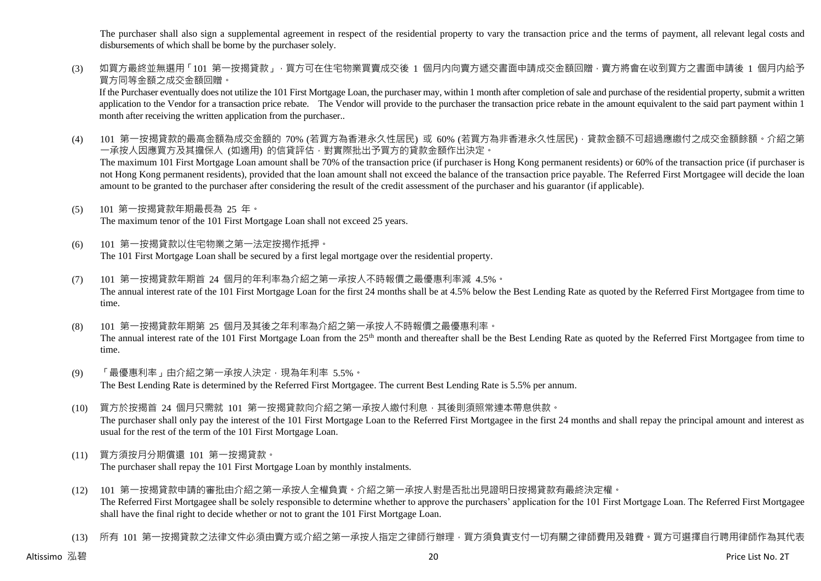The purchaser shall also sign a supplemental agreement in respect of the residential property to vary the transaction price and the terms of payment, all relevant legal costs and disbursements of which shall be borne by the purchaser solely.

(3) 如買方最終並無選用「101 第一按揭貸款」,買方可在住宅物業買賣成交後 1 個月内向賣方遞交書面申請成交金額回贈,賣方將會在收到買方之書面申請後 1 個月内給予 買方同等金額之成交金額回贈。

If the Purchaser eventually does not utilize the 101 First Mortgage Loan, the purchaser may, within 1 month after completion of sale and purchase of the residential property, submit a written application to the Vendor for a transaction price rebate. The Vendor will provide to the purchaser the transaction price rebate in the amount equivalent to the said part payment within 1 month after receiving the written application from the purchaser..

(4) 101 第一按揭貸款的最高金額為成交金額的 70% (若買方為香港永久性居民) 或 60% (若買方為非香港永久性居民) · 貸款金額不可超過應繳付之成交金額餘額。介紹之第 一承按人因應買方及其擔保人 (如適用) 的信貸評估,對實際批出予買方的貸款金額作出決定。

The maximum 101 First Mortgage Loan amount shall be 70% of the transaction price (if purchaser is Hong Kong permanent residents) or 60% of the transaction price (if purchaser is not Hong Kong permanent residents), provided that the loan amount shall not exceed the balance of the transaction price payable. The Referred First Mortgagee will decide the loan amount to be granted to the purchaser after considering the result of the credit assessment of the purchaser and his guarantor (if applicable).

- (5) 101 第一按揭貸款年期最長為 25 年。 The maximum tenor of the 101 First Mortgage Loan shall not exceed 25 years.
- (6) 101 第一按揭貸款以住宅物業之第一法定按揭作抵押。 The 101 First Mortgage Loan shall be secured by a first legal mortgage over the residential property.
- (7) 101 第一按揭貸款年期首 24 個月的年利率為介紹之第一承按人不時報價之最優惠利率減 4.5%。 The annual interest rate of the 101 First Mortgage Loan for the first 24 months shall be at 4.5% below the Best Lending Rate as quoted by the Referred First Mortgagee from time to time.
- (8) 101 第一按揭貸款年期第 25 個月及其後之年利率為介紹之第一承按人不時報價之最優惠利率。 The annual interest rate of the 101 First Mortgage Loan from the 25<sup>th</sup> month and thereafter shall be the Best Lending Rate as quoted by the Referred First Mortgagee from time to time.
- (9) 「最優惠利率」由介紹之第一承按人決定,現為年利率 5.5%。 The Best Lending Rate is determined by the Referred First Mortgagee. The current Best Lending Rate is 5.5% per annum.
- (10) 買方於按揭首 24 個月只需就 101 第一按揭貸款向介紹之第一承按人繳付利息,其後則須照常連本帶息供款。 The purchaser shall only pay the interest of the 101 First Mortgage Loan to the Referred First Mortgagee in the first 24 months and shall repay the principal amount and interest as usual for the rest of the term of the 101 First Mortgage Loan.
- (11) 買方須按月分期償還 101 第一按揭貸款。 The purchaser shall repay the 101 First Mortgage Loan by monthly instalments.
- (12) 101 第一按揭貸款申請的審批由介紹之第一承按人全權負責。介紹之第一承按人對是否批出見證明日按揭貸款有最終決定權。 The Referred First Mortgagee shall be solely responsible to determine whether to approve the purchasers' application for the 101 First Mortgage Loan. The Referred First Mortgagee shall have the final right to decide whether or not to grant the 101 First Mortgage Loan.
- (13) 所有 101 第一按揭貸款之法律文件必須由賣方或介紹之第一承按人指定之律師行辦理,買方須負責支付一切有關之律師費用及雜費。買方可選擇自行聘用律師作為其代表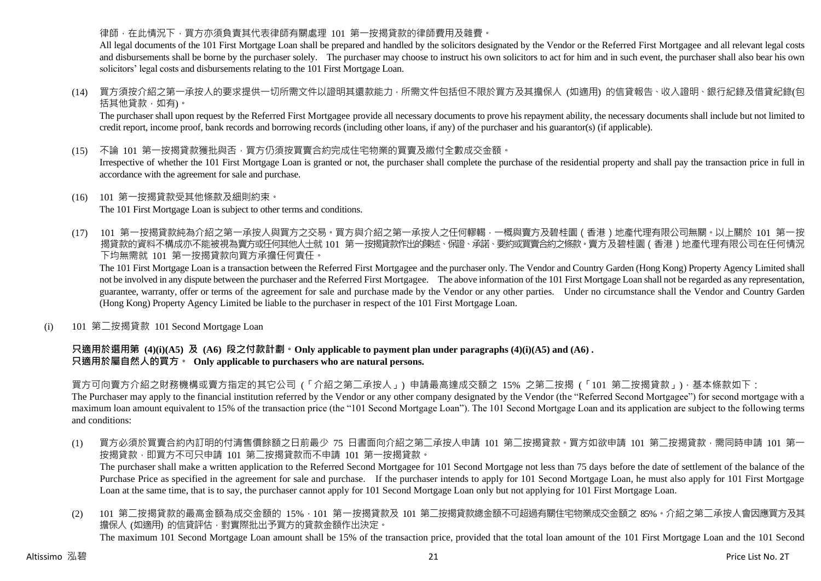### 律師,在此情況下,買方亦須負責其代表律師有關處理 101 第一按揭貸款的律師費用及雜費。

All legal documents of the 101 First Mortgage Loan shall be prepared and handled by the solicitors designated by the Vendor or the Referred First Mortgagee and all relevant legal costs and disbursements shall be borne by the purchaser solely. The purchaser may choose to instruct his own solicitors to act for him and in such event, the purchaser shall also bear his own solicitors' legal costs and disbursements relating to the 101 First Mortgage Loan.

(14) 買方須按介紹之第一承按人的要求提供一切所需文件以證明其還款能力,所需文件包括但不限於買方及其擔保人 (如適用) 的信貸報告、收入證明、銀行紀錄及借貸紀錄(包 括其他貸款,如有)。

The purchaser shall upon request by the Referred First Mortgagee provide all necessary documents to prove his repayment ability, the necessary documents shall include but not limited to credit report, income proof, bank records and borrowing records (including other loans, if any) of the purchaser and his guarantor(s) (if applicable).

(15) 不論 101 第一按揭貸款獲批與否,買方仍須按買賣合約完成住宅物業的買賣及繳付全數成交金額。

Irrespective of whether the 101 First Mortgage Loan is granted or not, the purchaser shall complete the purchase of the residential property and shall pay the transaction price in full in accordance with the agreement for sale and purchase.

- (16) 101 第一按揭貸款受其他條款及細則約束。 The 101 First Mortgage Loan is subject to other terms and conditions.
- (17) 101 第一按揭貸款純為介紹之第一承按人與買方之交易。買方與介紹之第一承按人之任何轇輵,一概與賣方及碧桂園(香港)地產代理有限公司無關。以上關於 101 第一按 揭貸款的資料不構成亦不能被視為賣方或任何其他人士就 101 第一按揭貸款作出的陳述、保證、承諾、要約或買賣合約之條款。賣方及碧桂園(香港)地產代理有限公司在任何情況 下均無需就 101 第一按揭貸款向買方承擔任何責任。

The 101 First Mortgage Loan is a transaction between the Referred First Mortgagee and the purchaser only. The Vendor and Country Garden (Hong Kong) Property Agency Limited shall not be involved in any dispute between the purchaser and the Referred First Mortgagee. The above information of the 101 First Mortgage Loan shall not be regarded as any representation, guarantee, warranty, offer or terms of the agreement for sale and purchase made by the Vendor or any other parties. Under no circumstance shall the Vendor and Country Garden (Hong Kong) Property Agency Limited be liable to the purchaser in respect of the 101 First Mortgage Loan.

(i) 101 第二按揭貸款 101 Second Mortgage Loan

## **只適用於選用第 (4)(i)(A5) 及 (A6) 段之付款計劃。Only applicable to payment plan under paragraphs (4)(i)(A5) and (A6) . 只適用於屬自然人的買方。 Only applicable to purchasers who are natural persons.**

買方可向賣方介紹之財務機構或賣方指定的其它公司 (「介紹之第二承按人」) 申請最高達成交額之 15% 之第二按揭 (「101 第二按揭貸款」),基本條款如下:

The Purchaser may apply to the financial institution referred by the Vendor or any other company designated by the Vendor (the "Referred Second Mortgagee") for second mortgage with a maximum loan amount equivalent to 15% of the transaction price (the "101 Second Mortgage Loan"). The 101 Second Mortgage Loan and its application are subject to the following terms and conditions:

(1) 買方必須於買賣合約內訂明的付清售價餘額之日前最少 75 日書面向介紹之第二承按人申請 101 第二按揭貸款。買方如欲申請 101 第二按揭貸款,需同時申請 101 第一 按揭貸款,即買方不可只申請 101 第二按揭貸款而不申請 101 第一按揭貸款。

The purchaser shall make a written application to the Referred Second Mortgagee for 101 Second Mortgage not less than 75 days before the date of settlement of the balance of the Purchase Price as specified in the agreement for sale and purchase. If the purchaser intends to apply for 101 Second Mortgage Loan, he must also apply for 101 First Mortgage Loan at the same time, that is to say, the purchaser cannot apply for 101 Second Mortgage Loan only but not applying for 101 First Mortgage Loan.

(2) 101 第二按揭貸款的最高金額為成交金額的 15%,101 第一按揭貸款及 101 第二按揭貸款總金額不可超過有關住宅物業成交金額之 85%。介紹之第二承按人會因應買方及其 擔保人 (如適用) 的信貸評估,對實際批出予買方的貸款金額作出決定。 The maximum 101 Second Mortgage Loan amount shall be 15% of the transaction price, provided that the total loan amount of the 101 First Mortgage Loan and the 101 Second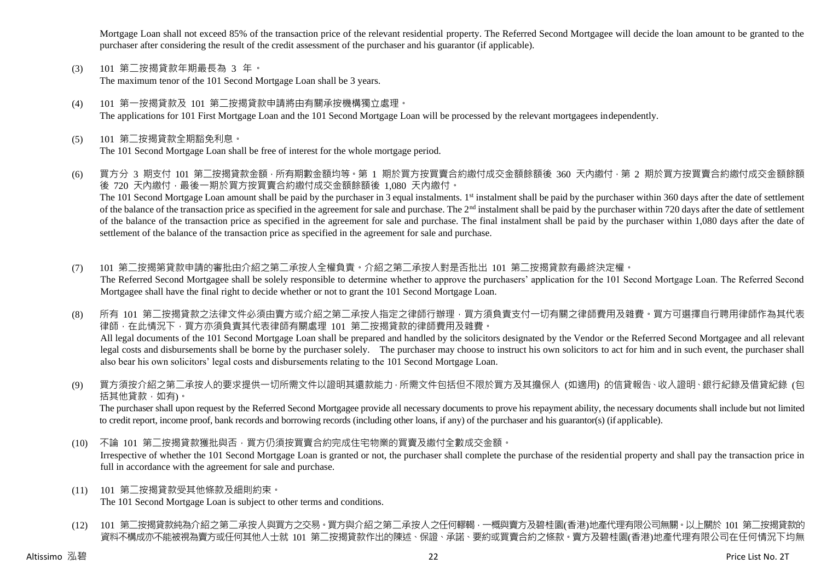Mortgage Loan shall not exceed 85% of the transaction price of the relevant residential property. The Referred Second Mortgagee will decide the loan amount to be granted to the purchaser after considering the result of the credit assessment of the purchaser and his guarantor (if applicable).

- (3) 101 第二按揭貸款年期最長為 3 年。 The maximum tenor of the 101 Second Mortgage Loan shall be 3 years.
- (4) 101 第一按揭貸款及 101 第二按揭貸款申請將由有關承按機構獨立處理。 The applications for 101 First Mortgage Loan and the 101 Second Mortgage Loan will be processed by the relevant mortgagees independently.
- (5) 101 第二按揭貸款全期豁免利息。 The 101 Second Mortgage Loan shall be free of interest for the whole mortgage period.
- (6) 買方分 3 期支付 101 第二按揭貸款金額,所有期數金額均等。第 1 期於買方按買賣合約繳付成交金額餘額後 360 天內繳付,第 2 期於買方按買賣合約繳付成交金額餘額 後 720 天內繳付,最後一期於買方按買賣合約繳付成交金額餘額後 1,080 天內繳付。 The 101 Second Mortgage Loan amount shall be paid by the purchaser in 3 equal instalments. 1<sup>st</sup> instalment shall be paid by the purchaser within 360 days after the date of settlement of the balance of the transaction price as specified in the agreement for sale and purchase. The 2<sup>nd</sup> instalment shall be paid by the purchaser within 720 days after the date of settlement of the balance of the transaction price as specified in the agreement for sale and purchase. The final instalment shall be paid by the purchaser within 1,080 days after the date of settlement of the balance of the transaction price as specified in the agreement for sale and purchase.
- (7) 101 第二按揭第貸款申請的審批由介紹之第二承按人全權負責。介紹之第二承按人對是否批出 101 第二按揭貸款有最終決定權。 The Referred Second Mortgagee shall be solely responsible to determine whether to approve the purchasers' application for the 101 Second Mortgage Loan. The Referred Second Mortgagee shall have the final right to decide whether or not to grant the 101 Second Mortgage Loan.
- (8) 所有 101 第二按揭貸款之法律文件必須由賣方或介紹之第二承按人指定之律師行辦理,買方須負責支付一切有關之律師費用及雜費。買方可選擇自行聘用律師作為其代表 律師,在此情況下,買方亦須負責其代表律師有關處理 101 第二按揭貸款的律師費用及雜費。 All legal documents of the 101 Second Mortgage Loan shall be prepared and handled by the solicitors designated by the Vendor or the Referred Second Mortgagee and all relevant legal costs and disbursements shall be borne by the purchaser solely. The purchaser may choose to instruct his own solicitors to act for him and in such event, the purchaser shall also bear his own solicitors' legal costs and disbursements relating to the 101 Second Mortgage Loan.
- (9) 買方須按介紹之第二承按人的要求提供一切所需文件以證明其還款能力,所需文件包括但不限於買方及其擔保人 (如適用) 的信貸報告、收入證明、銀行紀錄及借貸紀錄 (包 括其他貸款,如有)。

The purchaser shall upon request by the Referred Second Mortgagee provide all necessary documents to prove his repayment ability, the necessary documents shall include but not limited to credit report, income proof, bank records and borrowing records (including other loans, if any) of the purchaser and his guarantor(s) (if applicable).

(10) 不論 101 第二按揭貸款獲批與否,買方仍須按買賣合約完成住宅物業的買賣及繳付全數成交金額。

Irrespective of whether the 101 Second Mortgage Loan is granted or not, the purchaser shall complete the purchase of the residential property and shall pay the transaction price in full in accordance with the agreement for sale and purchase.

- (11) 101 第二按揭貸款受其他條款及細則約束。 The 101 Second Mortgage Loan is subject to other terms and conditions.
- (12) 101 第二按揭貸款純為介紹之第二承按人與買方之交易。買方與介紹之第二承按人之任何轇輵,一概與賣方及碧桂園(香港)地產代理有限公司無關。以上關於 101 第二按揭貸款的 資料不構成亦不能被視為賣方或任何其他人士就 101 第二按揭貸款作出的陳述、保證、承諾、要約或買賣合約之條款。賣方及碧桂園(香港)地產代理有限公司在任何情況下均無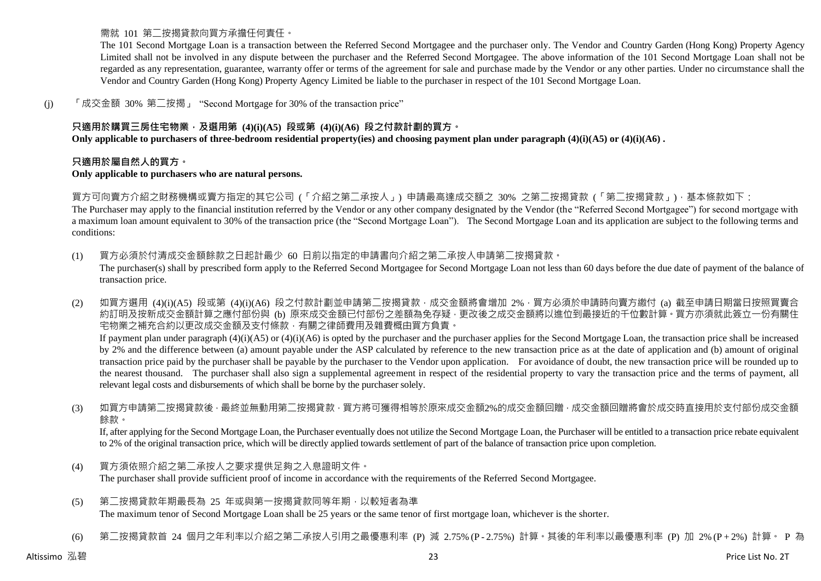需就 101 第二按揭貸款向買方承擔任何責任。

The 101 Second Mortgage Loan is a transaction between the Referred Second Mortgagee and the purchaser only. The Vendor and Country Garden (Hong Kong) Property Agency Limited shall not be involved in any dispute between the purchaser and the Referred Second Mortgagee. The above information of the 101 Second Mortgage Loan shall not be regarded as any representation, guarantee, warranty offer or terms of the agreement for sale and purchase made by the Vendor or any other parties. Under no circumstance shall the Vendor and Country Garden (Hong Kong) Property Agency Limited be liable to the purchaser in respect of the 101 Second Mortgage Loan.

(j) 「成交金額 30% 第二按揭」 "Second Mortgage for 30% of the transaction price"

## **只適用於購買三房住宅物業,及選用第 (4)(i)(A5) 段或第 (4)(i)(A6) 段之付款計劃的買方。**

**Only applicable to purchasers of three-bedroom residential property(ies) and choosing payment plan under paragraph (4)(i)(A5) or (4)(i)(A6) .**

#### **只適用於屬自然人的買方。**

#### **Only applicable to purchasers who are natural persons.**

買方可向賣方介紹之財務機構或賣方指定的其它公司 (「介紹之第二承按人」) 申請最高達成交額之 30% 之第二按揭貸款 (「第二按揭貸款」), 基本條款如下:

The Purchaser may apply to the financial institution referred by the Vendor or any other company designated by the Vendor (the "Referred Second Mortgagee") for second mortgage with a maximum loan amount equivalent to 30% of the transaction price (the "Second Mortgage Loan"). The Second Mortgage Loan and its application are subject to the following terms and conditions:

(1) 買方必須於付清成交金額餘款之日起計最少 60 日前以指定的申請書向介紹之第二承按人申請第二按揭貸款。 The purchaser(s) shall by prescribed form apply to the Referred Second Mortgagee for Second Mortgage Loan not less than 60 days before the due date of payment of the balance of transaction price.

(2) 如買方選用 (4)(i)(A5) 段或第 (4)(i)(A6) 段之付款計劃並申請第二按揭貸款,成交金額將會增加 2%,買方必須於申請時向賣方繳付 (a) 截至申請日期當日按照買賣合 約訂明及按新成交金額計算之應付部份與 (b) 原來成交金額已付部份之差額為免存疑,更改後之成交金額將以進位到最接近的千位數計算。買方亦須就此簽立一份有關住 宅物業之補充合約以更改成交金額及支付條款,有關之律師費用及雜費概由買方負責。

If payment plan under paragraph  $(4)(i)(A5)$  or  $(4)(i)(A6)$  is opted by the purchaser and the purchaser applies for the Second Mortgage Loan, the transaction price shall be increased by 2% and the difference between (a) amount payable under the ASP calculated by reference to the new transaction price as at the date of application and (b) amount of original transaction price paid by the purchaser shall be payable by the purchaser to the Vendor upon application. For avoidance of doubt, the new transaction price will be rounded up to the nearest thousand. The purchaser shall also sign a supplemental agreement in respect of the residential property to vary the transaction price and the terms of payment, all relevant legal costs and disbursements of which shall be borne by the purchaser solely.

(3) 如買方申請第二按揭貸款後 · 最終並無動用第二按揭貸款 · 買方將可獲得相等於原來成交金額2%的成交金額回贈 · 成交金額回贈將會於成交時直接用於支付部份成交金額 餘款。

If, after applying for the Second Mortgage Loan, the Purchaser eventually does not utilize the Second Mortgage Loan, the Purchaser will be entitled to a transaction price rebate equivalent to 2% of the original transaction price, which will be directly applied towards settlement of part of the balance of transaction price upon completion.

- (4) 買方須依照介紹之第二承按人之要求提供足夠之入息證明文件。 The purchaser shall provide sufficient proof of income in accordance with the requirements of the Referred Second Mortgagee.
- (5) 第二按揭貸款年期最長為 25 年或與第一按揭貸款同等年期,以較短者為準 The maximum tenor of Second Mortgage Loan shall be 25 years or the same tenor of first mortgage loan, whichever is the shorter.
- (6) 第二按揭貸款首 24 個月之年利率以介紹之第二承按人引用之最優惠利率 (P) 減 2.75% (P 2.75%) 計算。其後的年利率以最優惠利率 (P) 加 2% (P + 2%) 計算。 P 為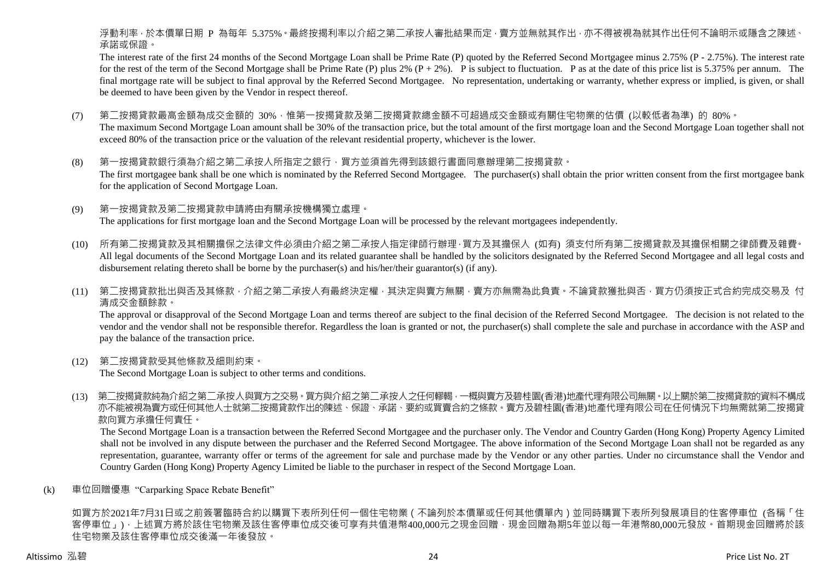浮動利率,於本價單日期 P 為每年 5.375%。最終按揭利率以介紹之第二承按人審批結果而定,賣方並無就其作出,亦不得被視為就其作出任何不論明示或隱含之陳述、 承諾或保證。

The interest rate of the first 24 months of the Second Mortgage Loan shall be Prime Rate (P) quoted by the Referred Second Mortgagee minus 2.75% (P - 2.75%). The interest rate for the rest of the term of the Second Mortgage shall be Prime Rate (P) plus 2%  $(P + 2\%)$ . P is subject to fluctuation. P as at the date of this price list is 5.375% per annum. The final mortgage rate will be subject to final approval by the Referred Second Mortgagee. No representation, undertaking or warranty, whether express or implied, is given, or shall be deemed to have been given by the Vendor in respect thereof.

- (7) 第二按揭貸款最高金額為成交金額的 30%,惟第一按揭貸款及第二按揭貸款總金額不可超過成交金額或有關住宅物業的估價 (以較低者為準) 的 80%。 The maximum Second Mortgage Loan amount shall be 30% of the transaction price, but the total amount of the first mortgage loan and the Second Mortgage Loan together shall not exceed 80% of the transaction price or the valuation of the relevant residential property, whichever is the lower.
- (8) 第一按揭貸款銀行須為介紹之第二承按人所指定之銀行,買方並須首先得到該銀行書面同意辦理第二按揭貸款。 The first mortgagee bank shall be one which is nominated by the Referred Second Mortgagee. The purchaser(s) shall obtain the prior written consent from the first mortgagee bank for the application of Second Mortgage Loan.
- (9) 第一按揭貸款及第二按揭貸款申請將由有關承按機構獨立處理。 The applications for first mortgage loan and the Second Mortgage Loan will be processed by the relevant mortgagees independently.
- (10) 所有第二按揭貸款及其相關擔保之法律文件必須由介紹之第二承按人指定律師行辦理,買方及其擔保人 (如有) 須支付所有第二按揭貸款及其擔保相關之律師費及雜費。 All legal documents of the Second Mortgage Loan and its related guarantee shall be handled by the solicitors designated by the Referred Second Mortgagee and all legal costs and disbursement relating thereto shall be borne by the purchaser(s) and his/her/their guarantor(s) (if any).
- (11) 第二按揭貸款批出與否及其條款,介紹之第二承按人有最終決定權,其決定與賣方無關,賣方亦無需為此負責。不論貸款獲批與否,買方仍須按正式合約完成交易及 付 清成交金額餘款。

The approval or disapproval of the Second Mortgage Loan and terms thereof are subject to the final decision of the Referred Second Mortgagee. The decision is not related to the vendor and the vendor shall not be responsible therefor. Regardless the loan is granted or not, the purchaser(s) shall complete the sale and purchase in accordance with the ASP and pay the balance of the transaction price.

- (12) 第二按揭貸款受其他條款及細則約束。 The Second Mortgage Loan is subject to other terms and conditions.
- (13) 第二按揭貸款純為介紹之第二承按人與買方之交易。買方與介紹之第二承按人之任何轇輵,一概與賣方及碧桂園(香港)地產代理有限公司無關。以上關於第二按揭貸款的資料不構成 亦不能被視為賣方或任何其他人士就第二按揭貸款作出的陳述、保證、承諾、要約或買賣合約之條款。賣方及碧桂園(香港)地產代理有限公司在任何情況下均無需就第二按揭貸 款向買方承擔任何責任。

The Second Mortgage Loan is a transaction between the Referred Second Mortgagee and the purchaser only. The Vendor and Country Garden (Hong Kong) Property Agency Limited shall not be involved in any dispute between the purchaser and the Referred Second Mortgagee. The above information of the Second Mortgage Loan shall not be regarded as any representation, guarantee, warranty offer or terms of the agreement for sale and purchase made by the Vendor or any other parties. Under no circumstance shall the Vendor and Country Garden (Hong Kong) Property Agency Limited be liable to the purchaser in respect of the Second Mortgage Loan.

(k) 車位回贈優惠 "Carparking Space Rebate Benefit"

如買方於2021年7月31日或之前簽署臨時合約以購買下表所列任何一個住宅物業(不論列於本價單或任何其他價單內)並同時購買下表所列發展項目的住客停車位 (各稱「住 客停車位」),上述買方將於該住宅物業及該住客停車位成交後可享有共值港幣400,000元之現金回贈,現金回贈為期5年並以每一年港幣80,000元發放。首期現金回贈將於該 住宅物業及該住客停車位成交後滿一年後發放。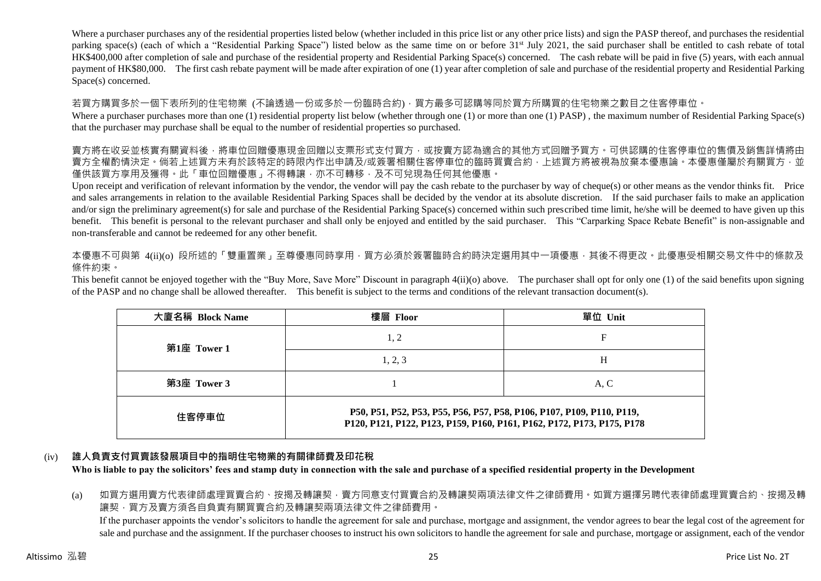Where a purchaser purchases any of the residential properties listed below (whether included in this price list or any other price lists) and sign the PASP thereof, and purchases the residential parking space(s) (each of which a "Residential Parking Space") listed below as the same time on or before 31<sup>st</sup> July 2021, the said purchaser shall be entitled to cash rebate of total HK\$400,000 after completion of sale and purchase of the residential property and Residential Parking Space(s) concerned. The cash rebate will be paid in five (5) years, with each annual payment of HK\$80,000. The first cash rebate payment will be made after expiration of one (1) year after completion of sale and purchase of the residential property and Residential Parking Space(s) concerned.

若買方購買多於一個下表所列的住宅物業 (不論透過一份或多於一份臨時合約),買方最多可認購等同於買方所購買的住宅物業之數目之住客停車位。

Where a purchaser purchases more than one (1) residential property list below (whether through one (1) or more than one (1) PASP), the maximum number of Residential Parking Space(s) that the purchaser may purchase shall be equal to the number of residential properties so purchased.

賣方將在收妥並核實有關資料後,將車位回贈優惠現金回贈以支票形式支付買方,或按賣方認為適合的其他方式回贈予買方。可供認購的住客停車位的售價及銷售詳情將由 賣方全權酌情決定。倘若上述買方未有於該特定的時限內作出申請及/或簽署相關住客停車位的臨時買賣合約,上述買方將被視為放棄本優惠論。本優惠僅屬於有關買方,並 僅供該買方享用及獲得。此「車位回贈優惠」不得轉讓,亦不可轉移,及不可兌現為任何其他優惠。

Upon receipt and verification of relevant information by the vendor, the vendor will pay the cash rebate to the purchaser by way of cheque(s) or other means as the vendor thinks fit. Price and sales arrangements in relation to the available Residential Parking Spaces shall be decided by the vendor at its absolute discretion. If the said purchaser fails to make an application and/or sign the preliminary agreement(s) for sale and purchase of the Residential Parking Space(s) concerned within such prescribed time limit, he/she will be deemed to have given up this benefit. This benefit is personal to the relevant purchaser and shall only be enjoyed and entitled by the said purchaser. This "Carparking Space Rebate Benefit" is non-assignable and non-transferable and cannot be redeemed for any other benefit.

本優惠不可與第 4(ij)(o) 段所述的「雙重置業」至尊優惠同時享用,買方必須於簽署臨時合約時決定選用其中一項優惠,其後不得更改。此優惠受相關交易文件中的條款及 條件約束。

This benefit cannot be enjoyed together with the "Buy More, Save More" Discount in paragraph 4(ii)(o) above. The purchaser shall opt for only one (1) of the said benefits upon signing of the PASP and no change shall be allowed thereafter. This benefit is subject to the terms and conditions of the relevant transaction document(s).

| 大廈名稱 Block Name | 樓層 Floor                                                                                                                                        | 單位 Unit |  |  |  |  |
|-----------------|-------------------------------------------------------------------------------------------------------------------------------------------------|---------|--|--|--|--|
| 第1座 Tower 1     | 1, 2                                                                                                                                            | F       |  |  |  |  |
|                 | 1, 2, 3                                                                                                                                         | Н       |  |  |  |  |
| 第3座 Tower 3     |                                                                                                                                                 | A, C    |  |  |  |  |
| 住客停車位           | P50, P51, P52, P53, P55, P56, P57, P58, P106, P107, P109, P110, P119,<br>P120, P121, P122, P123, P159, P160, P161, P162, P172, P173, P175, P178 |         |  |  |  |  |

# (iv) **誰人負責支付買賣該發展項目中的指明住宅物業的有關律師費及印花稅**

**Who is liable to pay the solicitors' fees and stamp duty in connection with the sale and purchase of a specified residential property in the Development**

(a) 如買方選用賣方代表律師處理買賣合約、按揭及轉讓契,賣方同意支付買賣合約及轉讓契兩項法律文件之律師費用。如買方選擇另聘代表律師處理買賣合約、按揭及轉 讓契,買方及賣方須各自負責有關買賣合約及轉讓契兩項法律文件之律師費用。

If the purchaser appoints the vendor's solicitors to handle the agreement for sale and purchase, mortgage and assignment, the vendor agrees to bear the legal cost of the agreement for sale and purchase and the assignment. If the purchaser chooses to instruct his own solicitors to handle the agreement for sale and purchase, mortgage or assignment, each of the vendor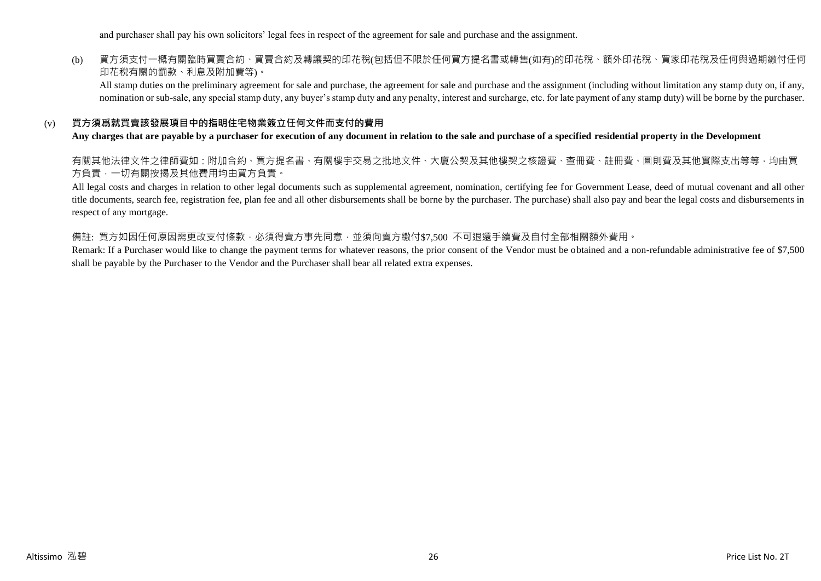and purchaser shall pay his own solicitors' legal fees in respect of the agreement for sale and purchase and the assignment.

## (b) 買方須支付一概有關臨時買賣合約、買賣合約及轉讓契的印花稅(包括但不限於任何買方提名書或轉售(如有)的印花稅、額外印花稅、買家印花稅及任何與過期繳付任何 印花稅有關的罰款、利息及附加費等)。

All stamp duties on the preliminary agreement for sale and purchase, the agreement for sale and purchase and the assignment (including without limitation any stamp duty on, if any, nomination or sub-sale, any special stamp duty, any buyer's stamp duty and any penalty, interest and surcharge, etc. for late payment of any stamp duty) will be borne by the purchaser.

#### (v) **買方須爲就買賣該發展項目中的指明住宅物業簽立任何文件而支付的費用**

#### **Any charges that are payable by a purchaser for execution of any document in relation to the sale and purchase of a specified residential property in the Development**

有關其他法律文件之律師費如:附加合約、買方提名書、有關樓宇交易之批地文件、大廈公契及其他樓契之核證費、查冊費、註冊費、圖則費及其他實際支出等等,均由買 方負責,一切有關按揭及其他費用均由買方負責。

All legal costs and charges in relation to other legal documents such as supplemental agreement, nomination, certifying fee for Government Lease, deed of mutual covenant and all other title documents, search fee, registration fee, plan fee and all other disbursements shall be borne by the purchaser. The purchase) shall also pay and bear the legal costs and disbursements in respect of any mortgage.

#### 備註: 買方如因任何原因需更改支付條款,必須得賣方事先同意,並須向賣方繳付\$7,500 不可退還手續費及自付全部相關額外費用。

Remark: If a Purchaser would like to change the payment terms for whatever reasons, the prior consent of the Vendor must be obtained and a non-refundable administrative fee of \$7,500 shall be payable by the Purchaser to the Vendor and the Purchaser shall bear all related extra expenses.